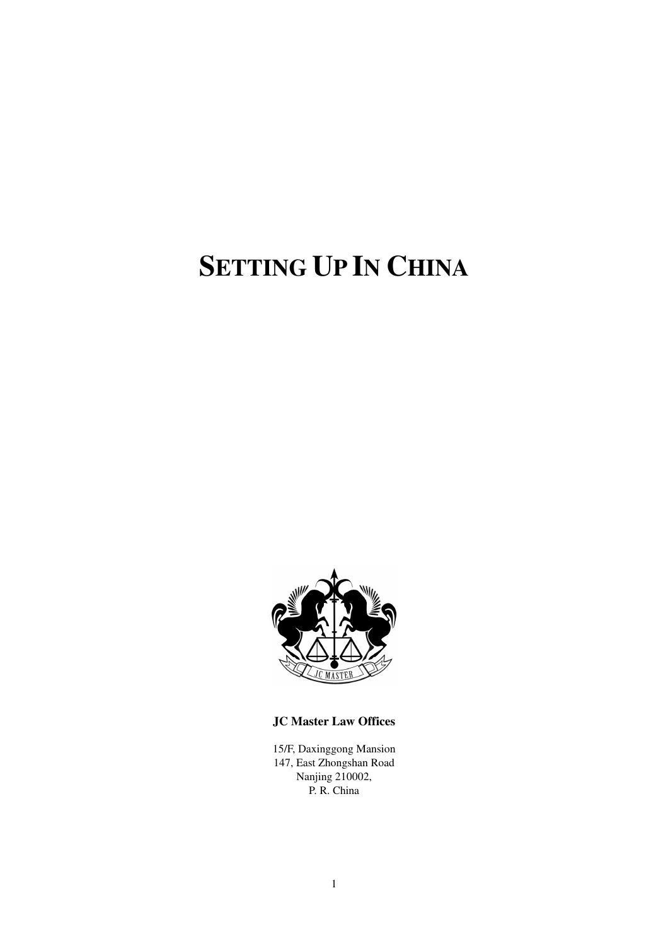# **SETTING UP IN CHINA**



**JC Master Law Offices** 

15/F, Daxinggong Mansion 147, East Zhongshan Road Nanjing 210002, P. R. China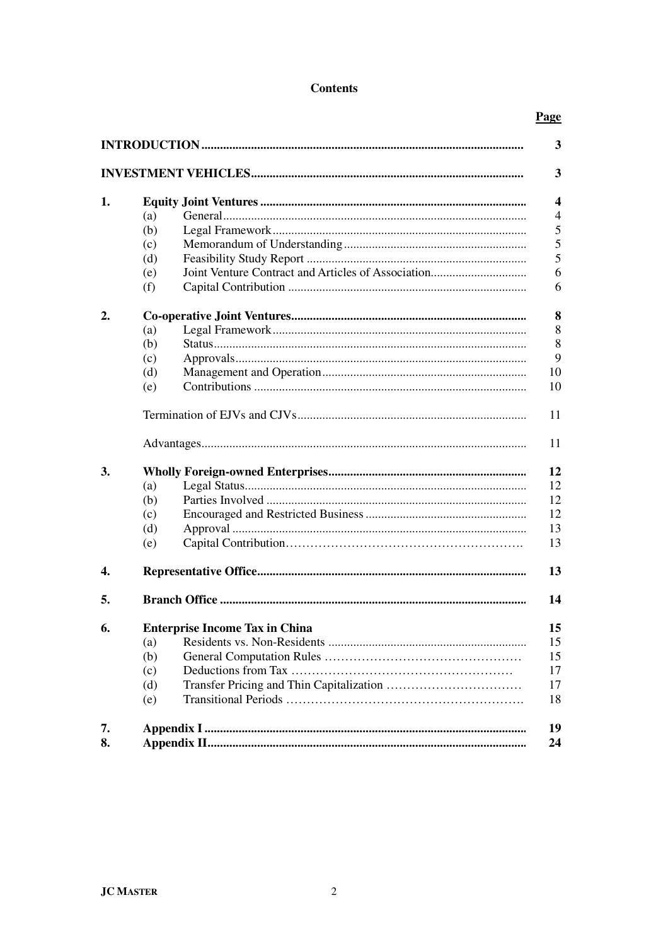## **Contents**

## Page

|    |     |                                             | 3  |  |  |  |  |
|----|-----|---------------------------------------------|----|--|--|--|--|
|    |     |                                             | 3  |  |  |  |  |
| 1. |     |                                             |    |  |  |  |  |
|    | (a) |                                             | 4  |  |  |  |  |
|    | (b) |                                             | 5  |  |  |  |  |
|    | (c) |                                             | 5  |  |  |  |  |
|    | (d) |                                             | 5  |  |  |  |  |
|    | (e) |                                             | 6  |  |  |  |  |
|    | (f) |                                             | 6  |  |  |  |  |
| 2. |     |                                             |    |  |  |  |  |
|    | (a) |                                             | 8  |  |  |  |  |
|    | (b) |                                             | 8  |  |  |  |  |
|    | (c) |                                             | 9  |  |  |  |  |
|    | (d) |                                             | 10 |  |  |  |  |
|    | (e) |                                             | 10 |  |  |  |  |
|    |     | 11                                          |    |  |  |  |  |
|    |     |                                             | 11 |  |  |  |  |
| 3. |     | 12                                          |    |  |  |  |  |
|    | (a) |                                             | 12 |  |  |  |  |
|    | (b) |                                             | 12 |  |  |  |  |
|    | (c) |                                             | 12 |  |  |  |  |
|    | (d) |                                             | 13 |  |  |  |  |
|    | (e) |                                             | 13 |  |  |  |  |
| 4. |     |                                             | 13 |  |  |  |  |
| 5. |     |                                             | 14 |  |  |  |  |
| 6. |     | <b>Enterprise Income Tax in China</b><br>15 |    |  |  |  |  |
|    | (a) |                                             | 15 |  |  |  |  |
|    | (b) |                                             | 15 |  |  |  |  |
|    | (c) |                                             | 17 |  |  |  |  |
|    | (d) |                                             | 17 |  |  |  |  |
|    | (e) |                                             | 18 |  |  |  |  |
| 7. |     |                                             | 19 |  |  |  |  |
| 8. |     |                                             | 24 |  |  |  |  |
|    |     |                                             |    |  |  |  |  |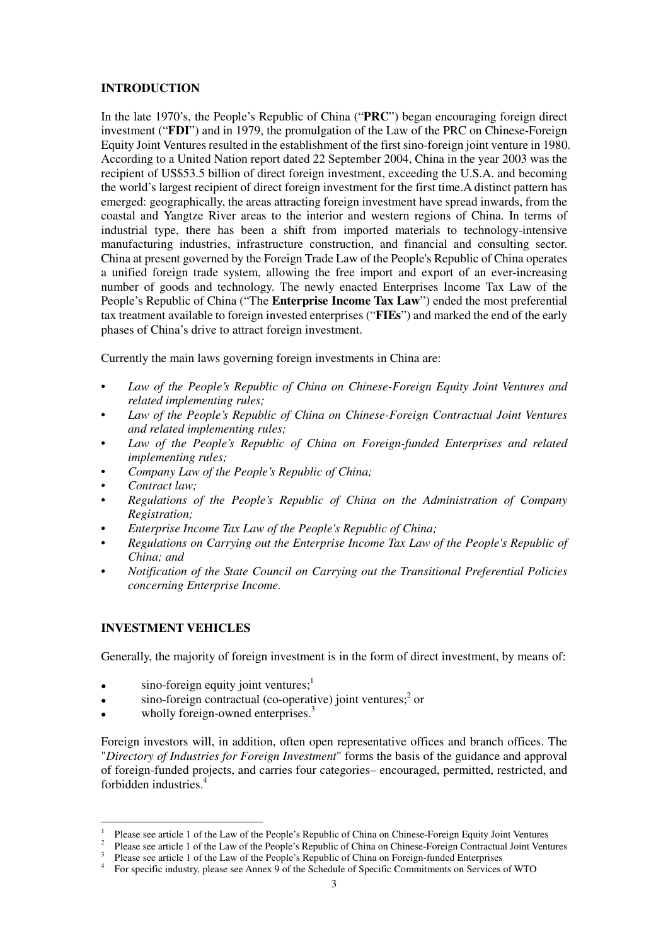## **INTRODUCTION**

In the late 1970's, the People's Republic of China ("**PRC**") began encouraging foreign direct investment ("**FDI**") and in 1979, the promulgation of the Law of the PRC on Chinese-Foreign Equity Joint Ventures resulted in the establishment of the first sino-foreign joint venture in 1980. According to a United Nation report dated 22 September 2004, China in the year 2003 was the recipient of US\$53.5 billion of direct foreign investment, exceeding the U.S.A. and becoming the world's largest recipient of direct foreign investment for the first time.A distinct pattern has emerged: geographically, the areas attracting foreign investment have spread inwards, from the coastal and Yangtze River areas to the interior and western regions of China. In terms of industrial type, there has been a shift from imported materials to technology-intensive manufacturing industries, infrastructure construction, and financial and consulting sector. China at present governed by the Foreign Trade Law of the People's Republic of China operates a unified foreign trade system, allowing the free import and export of an ever-increasing number of goods and technology. The newly enacted Enterprises Income Tax Law of the People's Republic of China ("The **Enterprise Income Tax Law**") ended the most preferential tax treatment available to foreign invested enterprises ("**FIEs**") and marked the end of the early phases of China's drive to attract foreign investment.

Currently the main laws governing foreign investments in China are:

- *Law of the People's Republic of China on Chinese-Foreign Equity Joint Ventures and related implementing rules;*
- *Law of the People's Republic of China on Chinese-Foreign Contractual Joint Ventures and related implementing rules;*
- *Law of the People's Republic of China on Foreign-funded Enterprises and related implementing rules;*
- *Company Law of the People's Republic of China;*
- *Contract law;*
- *Regulations of the People's Republic of China on the Administration of Company Registration;*
- *Enterprise Income Tax Law of the People's Republic of China;*
- *Regulations on Carrying out the Enterprise Income Tax Law of the People's Republic of China; and*
- *Notification of the State Council on Carrying out the Transitional Preferential Policies concerning Enterprise Income.*

## **INVESTMENT VEHICLES**

l

Generally, the majority of foreign investment is in the form of direct investment, by means of:

- $\bullet$  sino-foreign equity joint ventures;<sup>1</sup>
- $\bullet$  sino-foreign contractual (co-operative) joint ventures;<sup>2</sup> or
- wholly foreign-owned enterprises.<sup>3</sup>

Foreign investors will, in addition, often open representative offices and branch offices. The "*Directory of Industries for Foreign Investment*" forms the basis of the guidance and approval of foreign-funded projects, and carries four categories– encouraged, permitted, restricted, and forbidden industries.<sup>4</sup>

<sup>1</sup> Please see article 1 of the Law of the People's Republic of China on Chinese-Foreign Equity Joint Ventures

<sup>&</sup>lt;sup>2</sup> Please see article 1 of the Law of the People's Republic of China on Chinese-Foreign Contractual Joint Ventures

<sup>&</sup>lt;sup>3</sup> Please see article 1 of the Law of the People's Republic of China on Foreign-funded Enterprises

<sup>4</sup> For specific industry, please see Annex 9 of the Schedule of Specific Commitments on Services of WTO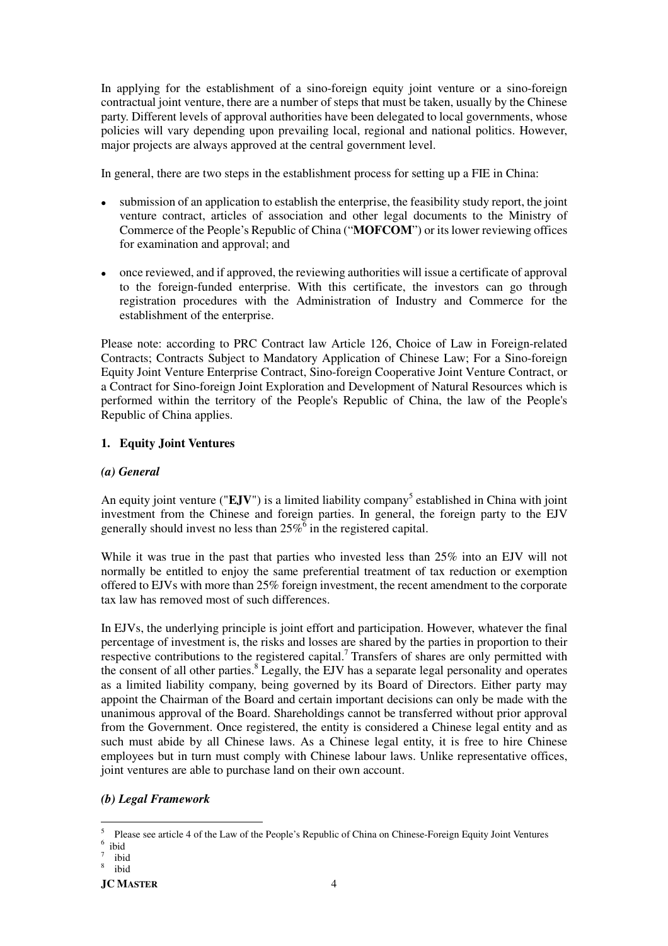In applying for the establishment of a sino-foreign equity joint venture or a sino-foreign contractual joint venture, there are a number of steps that must be taken, usually by the Chinese party. Different levels of approval authorities have been delegated to local governments, whose policies will vary depending upon prevailing local, regional and national politics. However, major projects are always approved at the central government level.

In general, there are two steps in the establishment process for setting up a FIE in China:

- submission of an application to establish the enterprise, the feasibility study report, the joint venture contract, articles of association and other legal documents to the Ministry of Commerce of the People's Republic of China ("**MOFCOM**") or its lower reviewing offices for examination and approval; and
- once reviewed, and if approved, the reviewing authorities will issue a certificate of approval to the foreign-funded enterprise. With this certificate, the investors can go through registration procedures with the Administration of Industry and Commerce for the establishment of the enterprise.

Please note: according to PRC Contract law Article 126, Choice of Law in Foreign-related Contracts; Contracts Subject to Mandatory Application of Chinese Law; For a Sino-foreign Equity Joint Venture Enterprise Contract, Sino-foreign Cooperative Joint Venture Contract, or a Contract for Sino-foreign Joint Exploration and Development of Natural Resources which is performed within the territory of the People's Republic of China, the law of the People's Republic of China applies.

## **1. Equity Joint Ventures**

## *(a) General*

An equity joint venture ("EJV") is a limited liability company<sup>5</sup> established in China with joint investment from the Chinese and foreign parties. In general, the foreign party to the EJV generally should invest no less than  $25\%$ <sup>6</sup> in the registered capital.

While it was true in the past that parties who invested less than 25% into an EJV will not normally be entitled to enjoy the same preferential treatment of tax reduction or exemption offered to EJVs with more than 25% foreign investment, the recent amendment to the corporate tax law has removed most of such differences.

In EJVs, the underlying principle is joint effort and participation. However, whatever the final percentage of investment is, the risks and losses are shared by the parties in proportion to their respective contributions to the registered capital.<sup>7</sup> Transfers of shares are only permitted with the consent of all other parties.<sup>8</sup> Legally, the EJV has a separate legal personality and operates as a limited liability company, being governed by its Board of Directors. Either party may appoint the Chairman of the Board and certain important decisions can only be made with the unanimous approval of the Board. Shareholdings cannot be transferred without prior approval from the Government. Once registered, the entity is considered a Chinese legal entity and as such must abide by all Chinese laws. As a Chinese legal entity, it is free to hire Chinese employees but in turn must comply with Chinese labour laws. Unlike representative offices, joint ventures are able to purchase land on their own account.

## *(b) Legal Framework*

l

<sup>5</sup> Please see article 4 of the Law of the People's Republic of China on Chinese-Foreign Equity Joint Ventures 6 ibid

<sup>7</sup> ibid

<sup>8</sup> ibid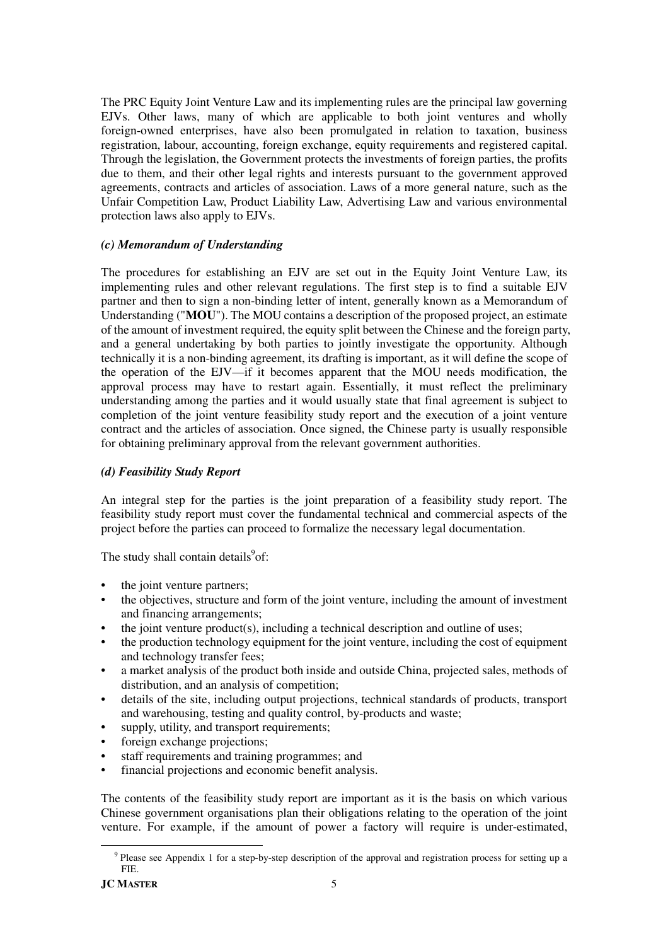The PRC Equity Joint Venture Law and its implementing rules are the principal law governing EJVs. Other laws, many of which are applicable to both joint ventures and wholly foreign-owned enterprises, have also been promulgated in relation to taxation, business registration, labour, accounting, foreign exchange, equity requirements and registered capital. Through the legislation, the Government protects the investments of foreign parties, the profits due to them, and their other legal rights and interests pursuant to the government approved agreements, contracts and articles of association. Laws of a more general nature, such as the Unfair Competition Law, Product Liability Law, Advertising Law and various environmental protection laws also apply to EJVs.

## *(c) Memorandum of Understanding*

The procedures for establishing an EJV are set out in the Equity Joint Venture Law, its implementing rules and other relevant regulations. The first step is to find a suitable EJV partner and then to sign a non-binding letter of intent, generally known as a Memorandum of Understanding ("**MOU**"). The MOU contains a description of the proposed project, an estimate of the amount of investment required, the equity split between the Chinese and the foreign party, and a general undertaking by both parties to jointly investigate the opportunity. Although technically it is a non-binding agreement, its drafting is important, as it will define the scope of the operation of the EJV––if it becomes apparent that the MOU needs modification, the approval process may have to restart again. Essentially, it must reflect the preliminary understanding among the parties and it would usually state that final agreement is subject to completion of the joint venture feasibility study report and the execution of a joint venture contract and the articles of association. Once signed, the Chinese party is usually responsible for obtaining preliminary approval from the relevant government authorities.

## *(d) Feasibility Study Report*

An integral step for the parties is the joint preparation of a feasibility study report. The feasibility study report must cover the fundamental technical and commercial aspects of the project before the parties can proceed to formalize the necessary legal documentation.

The study shall contain details<sup>9</sup>of:

- the joint venture partners;
- the objectives, structure and form of the joint venture, including the amount of investment and financing arrangements;
- the joint venture product(s), including a technical description and outline of uses;
- the production technology equipment for the joint venture, including the cost of equipment and technology transfer fees;
- a market analysis of the product both inside and outside China, projected sales, methods of distribution, and an analysis of competition;
- details of the site, including output projections, technical standards of products, transport and warehousing, testing and quality control, by-products and waste;
- supply, utility, and transport requirements;
- foreign exchange projections;
- staff requirements and training programmes; and
- financial projections and economic benefit analysis.

The contents of the feasibility study report are important as it is the basis on which various Chinese government organisations plan their obligations relating to the operation of the joint venture. For example, if the amount of power a factory will require is under-estimated,

 $\overline{a}$ 

<sup>&</sup>lt;sup>9</sup> Please see Appendix 1 for a step-by-step description of the approval and registration process for setting up a FIE.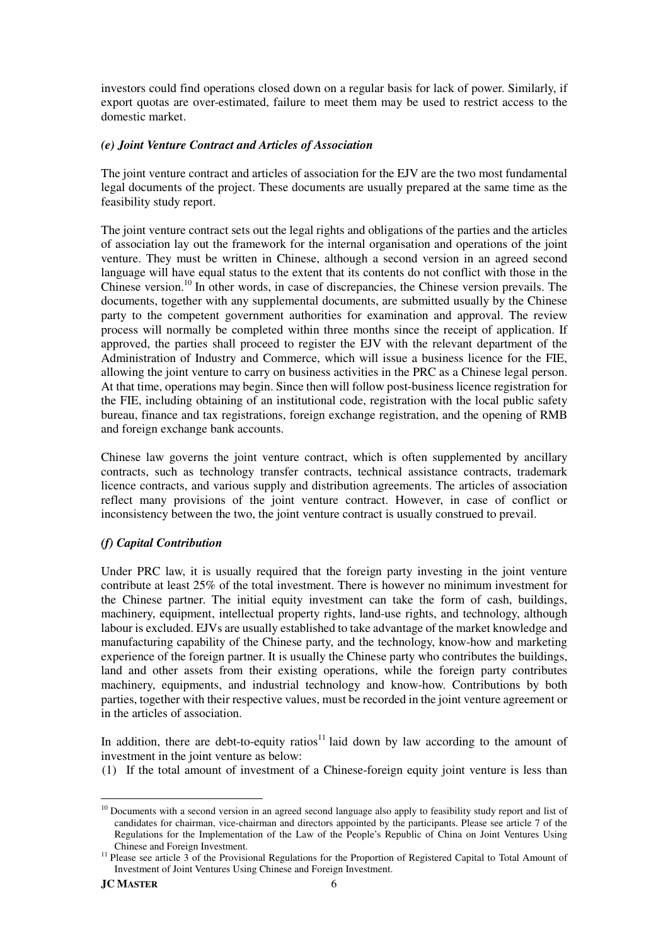investors could find operations closed down on a regular basis for lack of power. Similarly, if export quotas are over-estimated, failure to meet them may be used to restrict access to the domestic market.

## *(e) Joint Venture Contract and Articles of Association*

The joint venture contract and articles of association for the EJV are the two most fundamental legal documents of the project. These documents are usually prepared at the same time as the feasibility study report.

The joint venture contract sets out the legal rights and obligations of the parties and the articles of association lay out the framework for the internal organisation and operations of the joint venture. They must be written in Chinese, although a second version in an agreed second language will have equal status to the extent that its contents do not conflict with those in the Chinese version.<sup>10</sup> In other words, in case of discrepancies, the Chinese version prevails. The documents, together with any supplemental documents, are submitted usually by the Chinese party to the competent government authorities for examination and approval. The review process will normally be completed within three months since the receipt of application. If approved, the parties shall proceed to register the EJV with the relevant department of the Administration of Industry and Commerce, which will issue a business licence for the FIE, allowing the joint venture to carry on business activities in the PRC as a Chinese legal person. At that time, operations may begin. Since then will follow post-business licence registration for the FIE, including obtaining of an institutional code, registration with the local public safety bureau, finance and tax registrations, foreign exchange registration, and the opening of RMB and foreign exchange bank accounts.

Chinese law governs the joint venture contract, which is often supplemented by ancillary contracts, such as technology transfer contracts, technical assistance contracts, trademark licence contracts, and various supply and distribution agreements. The articles of association reflect many provisions of the joint venture contract. However, in case of conflict or inconsistency between the two, the joint venture contract is usually construed to prevail.

## *(f) Capital Contribution*

Under PRC law, it is usually required that the foreign party investing in the joint venture contribute at least 25% of the total investment. There is however no minimum investment for the Chinese partner. The initial equity investment can take the form of cash, buildings, machinery, equipment, intellectual property rights, land-use rights, and technology, although labour is excluded. EJVs are usually established to take advantage of the market knowledge and manufacturing capability of the Chinese party, and the technology, know-how and marketing experience of the foreign partner. It is usually the Chinese party who contributes the buildings, land and other assets from their existing operations, while the foreign party contributes machinery, equipments, and industrial technology and know-how. Contributions by both parties, together with their respective values, must be recorded in the joint venture agreement or in the articles of association.

In addition, there are debt-to-equity ratios<sup>11</sup> laid down by law according to the amount of investment in the joint venture as below:

(1) If the total amount of investment of a Chinese-foreign equity joint venture is less than

 $\overline{a}$  $10$  Documents with a second version in an agreed second language also apply to feasibility study report and list of candidates for chairman, vice-chairman and directors appointed by the participants. Please see article 7 of the Regulations for the Implementation of the Law of the People's Republic of China on Joint Ventures Using Chinese and Foreign Investment.

<sup>&</sup>lt;sup>11</sup> Please see article 3 of the Provisional Regulations for the Proportion of Registered Capital to Total Amount of Investment of Joint Ventures Using Chinese and Foreign Investment.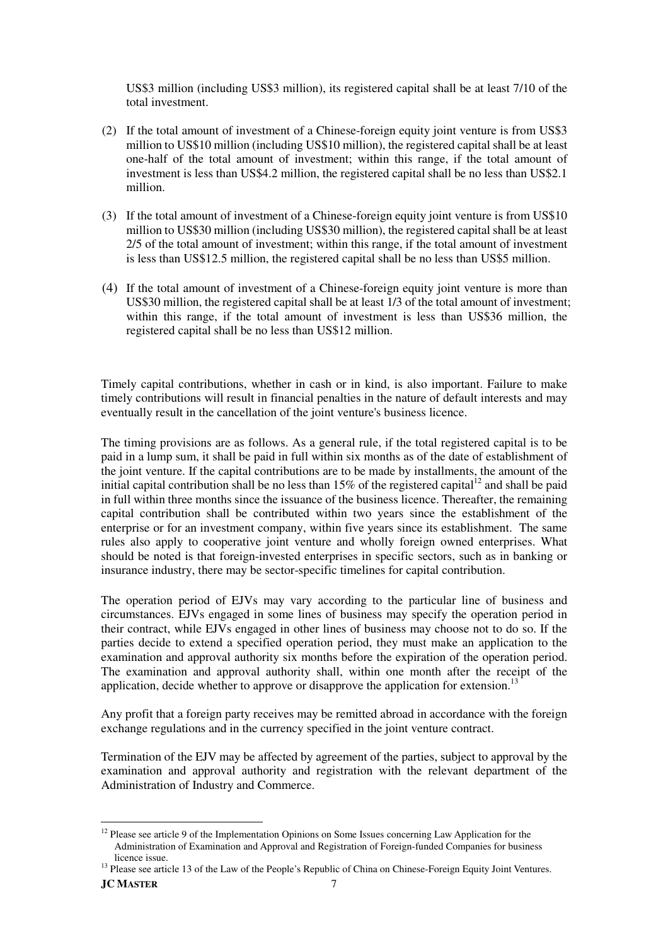US\$3 million (including US\$3 million), its registered capital shall be at least 7/10 of the total investment.

- (2) If the total amount of investment of a Chinese-foreign equity joint venture is from US\$3 million to US\$10 million (including US\$10 million), the registered capital shall be at least one-half of the total amount of investment; within this range, if the total amount of investment is less than US\$4.2 million, the registered capital shall be no less than US\$2.1 million.
- (3) If the total amount of investment of a Chinese-foreign equity joint venture is from US\$10 million to US\$30 million (including US\$30 million), the registered capital shall be at least 2/5 of the total amount of investment; within this range, if the total amount of investment is less than US\$12.5 million, the registered capital shall be no less than US\$5 million.
- (4) If the total amount of investment of a Chinese-foreign equity joint venture is more than US\$30 million, the registered capital shall be at least 1/3 of the total amount of investment; within this range, if the total amount of investment is less than US\$36 million, the registered capital shall be no less than US\$12 million.

Timely capital contributions, whether in cash or in kind, is also important. Failure to make timely contributions will result in financial penalties in the nature of default interests and may eventually result in the cancellation of the joint venture's business licence.

The timing provisions are as follows. As a general rule, if the total registered capital is to be paid in a lump sum, it shall be paid in full within six months as of the date of establishment of the joint venture. If the capital contributions are to be made by installments, the amount of the initial capital contribution shall be no less than  $15\%$  of the registered capital<sup>12</sup> and shall be paid in full within three months since the issuance of the business licence. Thereafter, the remaining capital contribution shall be contributed within two years since the establishment of the enterprise or for an investment company, within five years since its establishment. The same rules also apply to cooperative joint venture and wholly foreign owned enterprises. What should be noted is that foreign-invested enterprises in specific sectors, such as in banking or insurance industry, there may be sector-specific timelines for capital contribution.

The operation period of EJVs may vary according to the particular line of business and circumstances. EJVs engaged in some lines of business may specify the operation period in their contract, while EJVs engaged in other lines of business may choose not to do so. If the parties decide to extend a specified operation period, they must make an application to the examination and approval authority six months before the expiration of the operation period. The examination and approval authority shall, within one month after the receipt of the application, decide whether to approve or disapprove the application for extension.<sup>13</sup>

Any profit that a foreign party receives may be remitted abroad in accordance with the foreign exchange regulations and in the currency specified in the joint venture contract.

Termination of the EJV may be affected by agreement of the parties, subject to approval by the examination and approval authority and registration with the relevant department of the Administration of Industry and Commerce.

l

<sup>&</sup>lt;sup>12</sup> Please see article 9 of the Implementation Opinions on Some Issues concerning Law Application for the Administration of Examination and Approval and Registration of Foreign-funded Companies for business licence issue.

<sup>&</sup>lt;sup>13</sup> Please see article 13 of the Law of the People's Republic of China on Chinese-Foreign Equity Joint Ventures.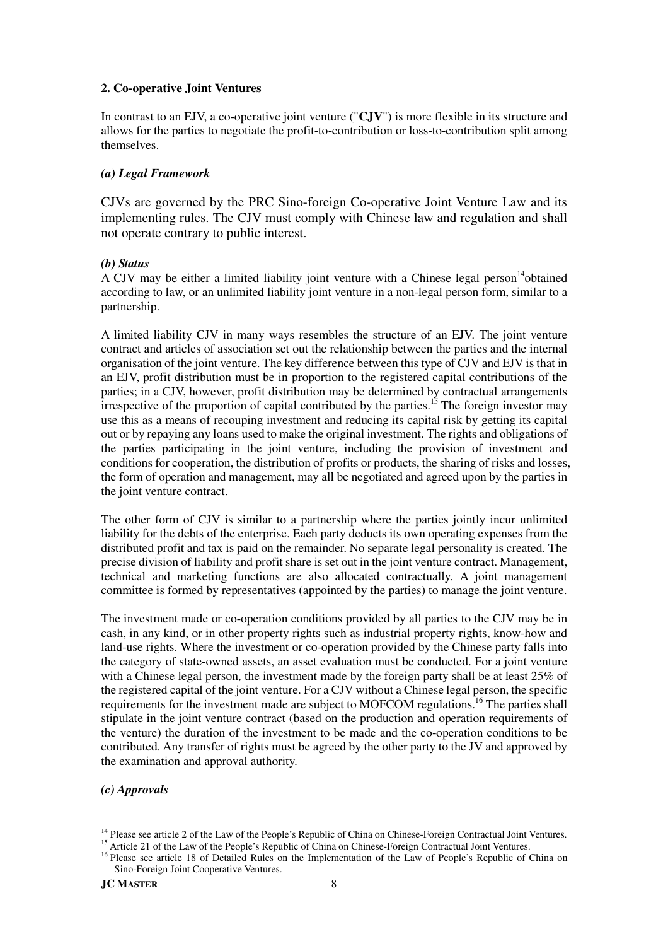## **2. Co-operative Joint Ventures**

In contrast to an EJV, a co-operative joint venture ("**CJV**") is more flexible in its structure and allows for the parties to negotiate the profit-to-contribution or loss-to-contribution split among themselves.

## *(a) Legal Framework*

CJVs are governed by the PRC Sino-foreign Co-operative Joint Venture Law and its implementing rules. The CJV must comply with Chinese law and regulation and shall not operate contrary to public interest.

## *(b) Status*

A CJV may be either a limited liability joint venture with a Chinese legal person <sup>14</sup>obtained according to law, or an unlimited liability joint venture in a non-legal person form, similar to a partnership.

A limited liability CJV in many ways resembles the structure of an EJV. The joint venture contract and articles of association set out the relationship between the parties and the internal organisation of the joint venture. The key difference between this type of CJV and EJV is that in an EJV, profit distribution must be in proportion to the registered capital contributions of the parties; in a CJV, however, profit distribution may be determined by contractual arrangements irrespective of the proportion of capital contributed by the parties.<sup>15</sup> The foreign investor may use this as a means of recouping investment and reducing its capital risk by getting its capital out or by repaying any loans used to make the original investment. The rights and obligations of the parties participating in the joint venture, including the provision of investment and conditions for cooperation, the distribution of profits or products, the sharing of risks and losses, the form of operation and management, may all be negotiated and agreed upon by the parties in the joint venture contract.

The other form of CJV is similar to a partnership where the parties jointly incur unlimited liability for the debts of the enterprise. Each party deducts its own operating expenses from the distributed profit and tax is paid on the remainder. No separate legal personality is created. The precise division of liability and profit share is set out in the joint venture contract. Management, technical and marketing functions are also allocated contractually. A joint management committee is formed by representatives (appointed by the parties) to manage the joint venture.

The investment made or co-operation conditions provided by all parties to the CJV may be in cash, in any kind, or in other property rights such as industrial property rights, know-how and land-use rights. Where the investment or co-operation provided by the Chinese party falls into the category of state-owned assets, an asset evaluation must be conducted. For a joint venture with a Chinese legal person, the investment made by the foreign party shall be at least 25% of the registered capital of the joint venture. For a CJV without a Chinese legal person, the specific requirements for the investment made are subject to MOFCOM regulations.<sup>16</sup> The parties shall stipulate in the joint venture contract (based on the production and operation requirements of the venture) the duration of the investment to be made and the co-operation conditions to be contributed. Any transfer of rights must be agreed by the other party to the JV and approved by the examination and approval authority.

## *(c) Approvals*

l <sup>14</sup> Please see article 2 of the Law of the People's Republic of China on Chinese-Foreign Contractual Joint Ventures.

<sup>&</sup>lt;sup>15</sup> Article 21 of the Law of the People's Republic of China on Chinese-Foreign Contractual Joint Ventures.

<sup>&</sup>lt;sup>16</sup> Please see article 18 of Detailed Rules on the Implementation of the Law of People's Republic of China on Sino-Foreign Joint Cooperative Ventures.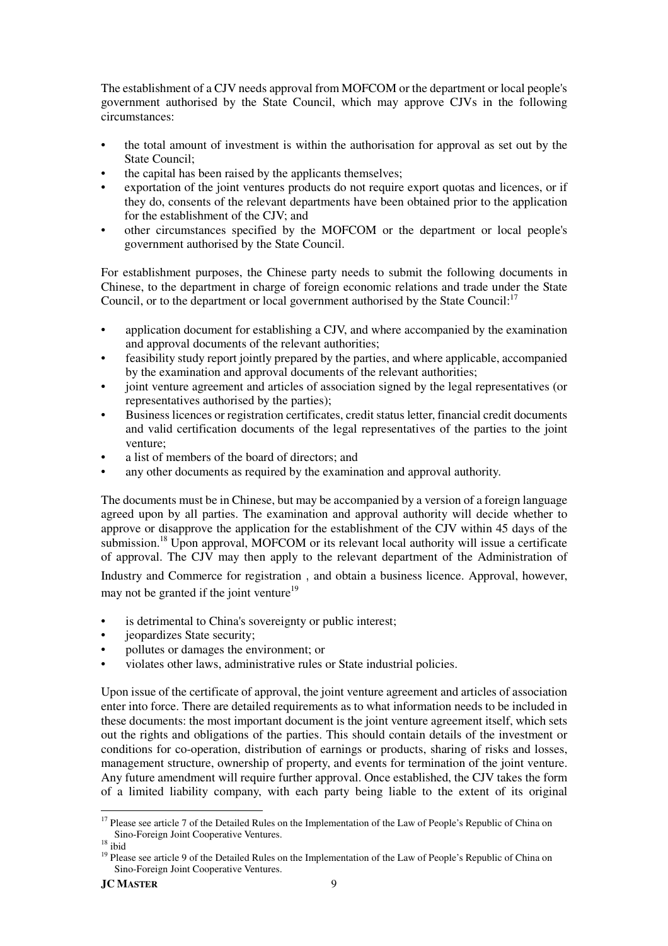The establishment of a CJV needs approval from MOFCOM or the department or local people's government authorised by the State Council, which may approve CJVs in the following circumstances:

- the total amount of investment is within the authorisation for approval as set out by the State Council;
- the capital has been raised by the applicants themselves:
- exportation of the joint ventures products do not require export quotas and licences, or if they do, consents of the relevant departments have been obtained prior to the application for the establishment of the CJV; and
- other circumstances specified by the MOFCOM or the department or local people's government authorised by the State Council.

For establishment purposes, the Chinese party needs to submit the following documents in Chinese, to the department in charge of foreign economic relations and trade under the State Council, or to the department or local government authorised by the State Council:<sup>17</sup>

- application document for establishing a CJV, and where accompanied by the examination and approval documents of the relevant authorities;
- feasibility study report jointly prepared by the parties, and where applicable, accompanied by the examination and approval documents of the relevant authorities;
- joint venture agreement and articles of association signed by the legal representatives (or representatives authorised by the parties);
- Business licences or registration certificates, credit status letter, financial credit documents and valid certification documents of the legal representatives of the parties to the joint venture;
- a list of members of the board of directors; and
- any other documents as required by the examination and approval authority.

The documents must be in Chinese, but may be accompanied by a version of a foreign language agreed upon by all parties. The examination and approval authority will decide whether to approve or disapprove the application for the establishment of the CJV within 45 days of the submission.<sup>18</sup> Upon approval, MOFCOM or its relevant local authority will issue a certificate of approval. The CJV may then apply to the relevant department of the Administration of Industry and Commerce for registration, and obtain a business licence. Approval, however, may not be granted if the joint venture<sup>19</sup>

- is detrimental to China's sovereignty or public interest;
- jeopardizes State security;
- pollutes or damages the environment; or
- violates other laws, administrative rules or State industrial policies.

Upon issue of the certificate of approval, the joint venture agreement and articles of association enter into force. There are detailed requirements as to what information needs to be included in these documents: the most important document is the joint venture agreement itself, which sets out the rights and obligations of the parties. This should contain details of the investment or conditions for co-operation, distribution of earnings or products, sharing of risks and losses, management structure, ownership of property, and events for termination of the joint venture. Any future amendment will require further approval. Once established, the CJV takes the form of a limited liability company, with each party being liable to the extent of its original

 $\overline{a}$ <sup>17</sup> Please see article 7 of the Detailed Rules on the Implementation of the Law of People's Republic of China on Sino-Foreign Joint Cooperative Ventures.

 $18$  ibid

<sup>&</sup>lt;sup>19</sup> Please see article 9 of the Detailed Rules on the Implementation of the Law of People's Republic of China on Sino-Foreign Joint Cooperative Ventures.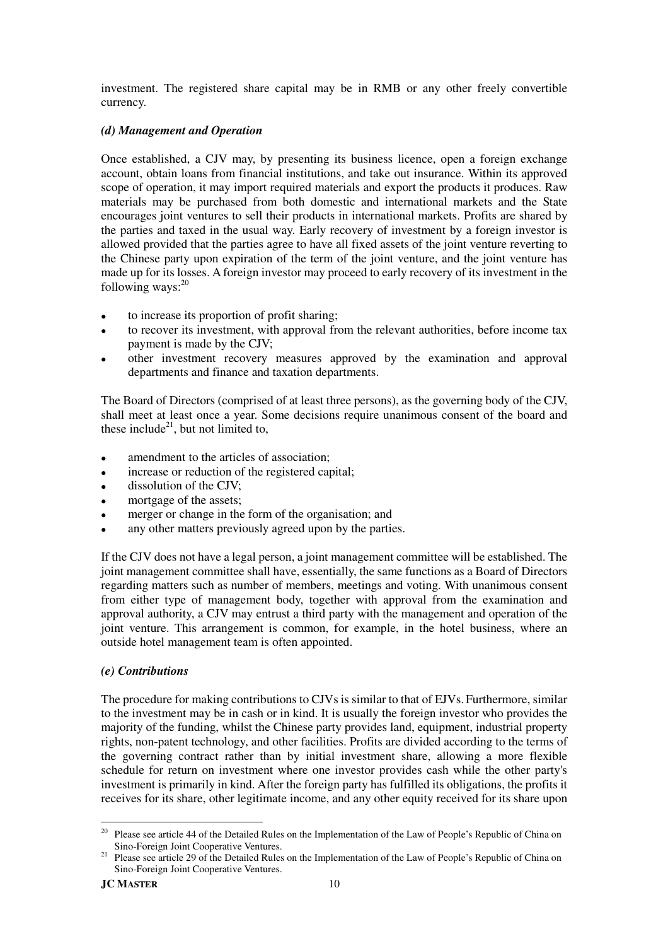investment. The registered share capital may be in RMB or any other freely convertible currency.

## *(d) Management and Operation*

Once established, a CJV may, by presenting its business licence, open a foreign exchange account, obtain loans from financial institutions, and take out insurance. Within its approved scope of operation, it may import required materials and export the products it produces. Raw materials may be purchased from both domestic and international markets and the State encourages joint ventures to sell their products in international markets. Profits are shared by the parties and taxed in the usual way. Early recovery of investment by a foreign investor is allowed provided that the parties agree to have all fixed assets of the joint venture reverting to the Chinese party upon expiration of the term of the joint venture, and the joint venture has made up for its losses. A foreign investor may proceed to early recovery of its investment in the following ways: $^{20}$ 

- to increase its proportion of profit sharing;
- to recover its investment, with approval from the relevant authorities, before income tax payment is made by the CJV;
- other investment recovery measures approved by the examination and approval departments and finance and taxation departments.

The Board of Directors (comprised of at least three persons), as the governing body of the CJV, shall meet at least once a year. Some decisions require unanimous consent of the board and these include<sup>21</sup>, but not limited to,

- amendment to the articles of association:
- increase or reduction of the registered capital;
- dissolution of the CJV;
- mortgage of the assets;
- merger or change in the form of the organisation; and
- any other matters previously agreed upon by the parties.

If the CJV does not have a legal person, a joint management committee will be established. The joint management committee shall have, essentially, the same functions as a Board of Directors regarding matters such as number of members, meetings and voting. With unanimous consent from either type of management body, together with approval from the examination and approval authority, a CJV may entrust a third party with the management and operation of the joint venture. This arrangement is common, for example, in the hotel business, where an outside hotel management team is often appointed.

## *(e) Contributions*

The procedure for making contributions to CJVs is similar to that of EJVs. Furthermore, similar to the investment may be in cash or in kind. It is usually the foreign investor who provides the majority of the funding, whilst the Chinese party provides land, equipment, industrial property rights, non-patent technology, and other facilities. Profits are divided according to the terms of the governing contract rather than by initial investment share, allowing a more flexible schedule for return on investment where one investor provides cash while the other party's investment is primarily in kind. After the foreign party has fulfilled its obligations, the profits it receives for its share, other legitimate income, and any other equity received for its share upon

<sup>20</sup> Please see article 44 of the Detailed Rules on the Implementation of the Law of People's Republic of China on Sino-Foreign Joint Cooperative Ventures.

<sup>&</sup>lt;sup>21</sup> Please see article 29 of the Detailed Rules on the Implementation of the Law of People's Republic of China on Sino-Foreign Joint Cooperative Ventures.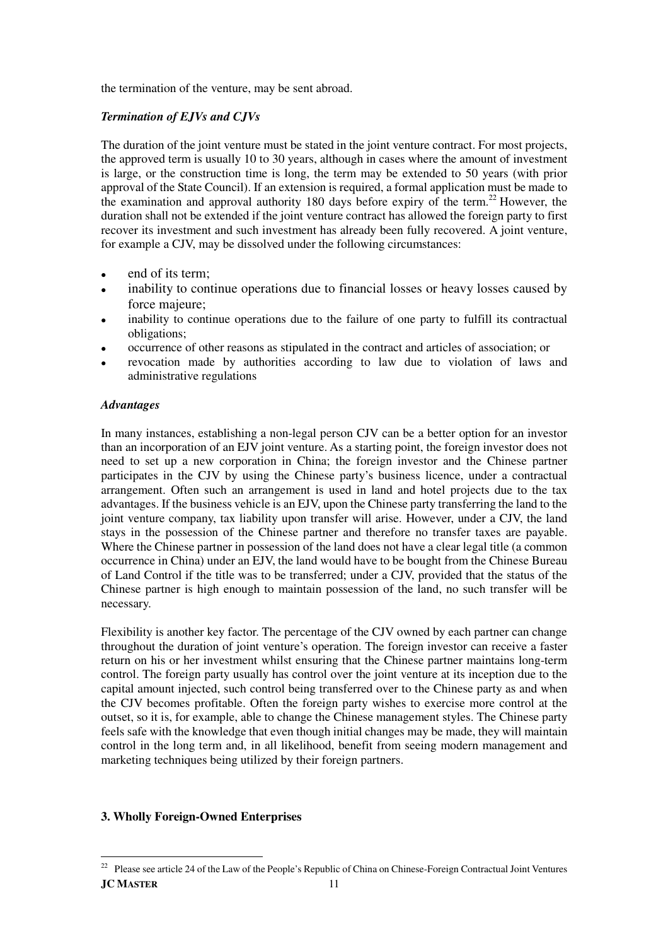the termination of the venture, may be sent abroad.

## *Termination of EJVs and CJVs*

The duration of the joint venture must be stated in the joint venture contract. For most projects, the approved term is usually 10 to 30 years, although in cases where the amount of investment is large, or the construction time is long, the term may be extended to 50 years (with prior approval of the State Council). If an extension is required, a formal application must be made to the examination and approval authority 180 days before expiry of the term.<sup>22</sup> However, the duration shall not be extended if the joint venture contract has allowed the foreign party to first recover its investment and such investment has already been fully recovered. A joint venture, for example a CJV, may be dissolved under the following circumstances:

- end of its term;
- inability to continue operations due to financial losses or heavy losses caused by force majeure;
- inability to continue operations due to the failure of one party to fulfill its contractual obligations;
- occurrence of other reasons as stipulated in the contract and articles of association; or
- revocation made by authorities according to law due to violation of laws and administrative regulations

## *Advantages*

In many instances, establishing a non-legal person CJV can be a better option for an investor than an incorporation of an EJV joint venture. As a starting point, the foreign investor does not need to set up a new corporation in China; the foreign investor and the Chinese partner participates in the CJV by using the Chinese party's business licence, under a contractual arrangement. Often such an arrangement is used in land and hotel projects due to the tax advantages. If the business vehicle is an EJV, upon the Chinese party transferring the land to the joint venture company, tax liability upon transfer will arise. However, under a CJV, the land stays in the possession of the Chinese partner and therefore no transfer taxes are payable. Where the Chinese partner in possession of the land does not have a clear legal title (a common occurrence in China) under an EJV, the land would have to be bought from the Chinese Bureau of Land Control if the title was to be transferred; under a CJV, provided that the status of the Chinese partner is high enough to maintain possession of the land, no such transfer will be necessary.

Flexibility is another key factor. The percentage of the CJV owned by each partner can change throughout the duration of joint venture's operation. The foreign investor can receive a faster return on his or her investment whilst ensuring that the Chinese partner maintains long-term control. The foreign party usually has control over the joint venture at its inception due to the capital amount injected, such control being transferred over to the Chinese party as and when the CJV becomes profitable. Often the foreign party wishes to exercise more control at the outset, so it is, for example, able to change the Chinese management styles. The Chinese party feels safe with the knowledge that even though initial changes may be made, they will maintain control in the long term and, in all likelihood, benefit from seeing modern management and marketing techniques being utilized by their foreign partners.

## **3. Wholly Foreign-Owned Enterprises**

 $\overline{a}$ 

**JC MASTER** 11 <sup>22</sup> Please see article 24 of the Law of the People's Republic of China on Chinese-Foreign Contractual Joint Ventures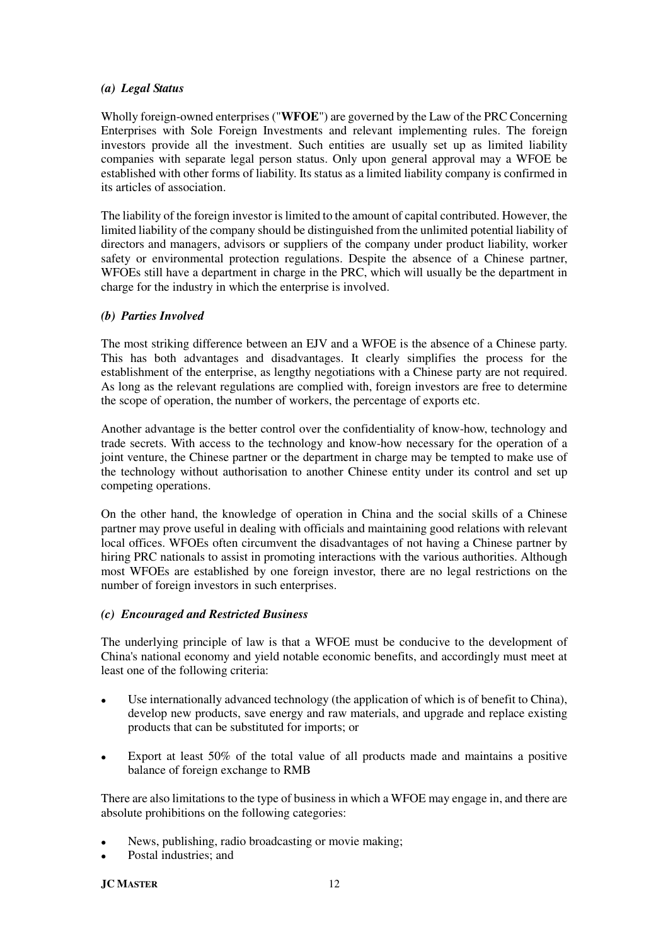#### *(a) Legal Status*

Wholly foreign-owned enterprises ("**WFOE**") are governed by the Law of the PRC Concerning Enterprises with Sole Foreign Investments and relevant implementing rules. The foreign investors provide all the investment. Such entities are usually set up as limited liability companies with separate legal person status. Only upon general approval may a WFOE be established with other forms of liability. Its status as a limited liability company is confirmed in its articles of association.

The liability of the foreign investor is limited to the amount of capital contributed. However, the limited liability of the company should be distinguished from the unlimited potential liability of directors and managers, advisors or suppliers of the company under product liability, worker safety or environmental protection regulations. Despite the absence of a Chinese partner, WFOEs still have a department in charge in the PRC, which will usually be the department in charge for the industry in which the enterprise is involved.

## *(b) Parties Involved*

The most striking difference between an EJV and a WFOE is the absence of a Chinese party. This has both advantages and disadvantages. It clearly simplifies the process for the establishment of the enterprise, as lengthy negotiations with a Chinese party are not required. As long as the relevant regulations are complied with, foreign investors are free to determine the scope of operation, the number of workers, the percentage of exports etc.

Another advantage is the better control over the confidentiality of know-how, technology and trade secrets. With access to the technology and know-how necessary for the operation of a joint venture, the Chinese partner or the department in charge may be tempted to make use of the technology without authorisation to another Chinese entity under its control and set up competing operations.

On the other hand, the knowledge of operation in China and the social skills of a Chinese partner may prove useful in dealing with officials and maintaining good relations with relevant local offices. WFOEs often circumvent the disadvantages of not having a Chinese partner by hiring PRC nationals to assist in promoting interactions with the various authorities. Although most WFOEs are established by one foreign investor, there are no legal restrictions on the number of foreign investors in such enterprises.

## *(c) Encouraged and Restricted Business*

The underlying principle of law is that a WFOE must be conducive to the development of China's national economy and yield notable economic benefits, and accordingly must meet at least one of the following criteria:

- Use internationally advanced technology (the application of which is of benefit to China), develop new products, save energy and raw materials, and upgrade and replace existing products that can be substituted for imports; or
- Export at least 50% of the total value of all products made and maintains a positive balance of foreign exchange to RMB

There are also limitations to the type of business in which a WFOE may engage in, and there are absolute prohibitions on the following categories:

- News, publishing, radio broadcasting or movie making;
- Postal industries; and

**JC MASTER** 12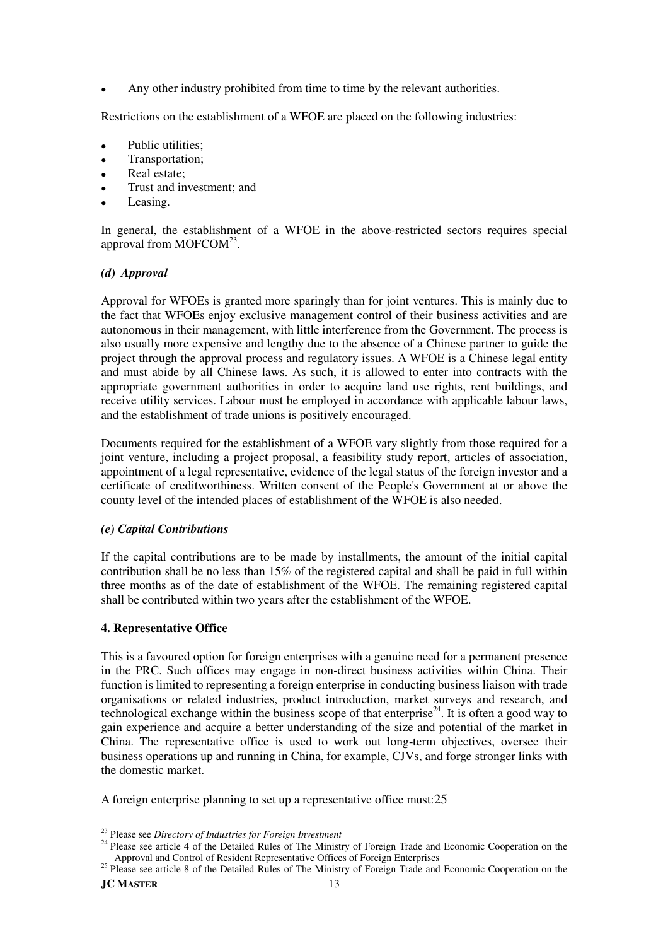Any other industry prohibited from time to time by the relevant authorities.

Restrictions on the establishment of a WFOE are placed on the following industries:

- Public utilities;
- Transportation;
- Real estate;
- Trust and investment; and
- Leasing.

In general, the establishment of a WFOE in the above-restricted sectors requires special approval from MOFCOM<sup>23</sup>.

## *(d) Approval*

Approval for WFOEs is granted more sparingly than for joint ventures. This is mainly due to the fact that WFOEs enjoy exclusive management control of their business activities and are autonomous in their management, with little interference from the Government. The process is also usually more expensive and lengthy due to the absence of a Chinese partner to guide the project through the approval process and regulatory issues. A WFOE is a Chinese legal entity and must abide by all Chinese laws. As such, it is allowed to enter into contracts with the appropriate government authorities in order to acquire land use rights, rent buildings, and receive utility services. Labour must be employed in accordance with applicable labour laws, and the establishment of trade unions is positively encouraged.

Documents required for the establishment of a WFOE vary slightly from those required for a joint venture, including a project proposal, a feasibility study report, articles of association, appointment of a legal representative, evidence of the legal status of the foreign investor and a certificate of creditworthiness. Written consent of the People's Government at or above the county level of the intended places of establishment of the WFOE is also needed.

## *(e) Capital Contributions*

If the capital contributions are to be made by installments, the amount of the initial capital contribution shall be no less than 15% of the registered capital and shall be paid in full within three months as of the date of establishment of the WFOE. The remaining registered capital shall be contributed within two years after the establishment of the WFOE.

## **4. Representative Office**

This is a favoured option for foreign enterprises with a genuine need for a permanent presence in the PRC. Such offices may engage in non-direct business activities within China. Their function is limited to representing a foreign enterprise in conducting business liaison with trade organisations or related industries, product introduction, market surveys and research, and technological exchange within the business scope of that enterprise<sup>24</sup>. It is often a good way to gain experience and acquire a better understanding of the size and potential of the market in China. The representative office is used to work out long-term objectives, oversee their business operations up and running in China, for example, CJVs, and forge stronger links with the domestic market.

A foreign enterprise planning to set up a representative office must:25

l

<sup>23</sup> Please see *Directory of Industries for Foreign Investment*

<sup>&</sup>lt;sup>24</sup> Please see article 4 of the Detailed Rules of The Ministry of Foreign Trade and Economic Cooperation on the Approval and Control of Resident Representative Offices of Foreign Enterprises

<sup>&</sup>lt;sup>25</sup> Please see article 8 of the Detailed Rules of The Ministry of Foreign Trade and Economic Cooperation on the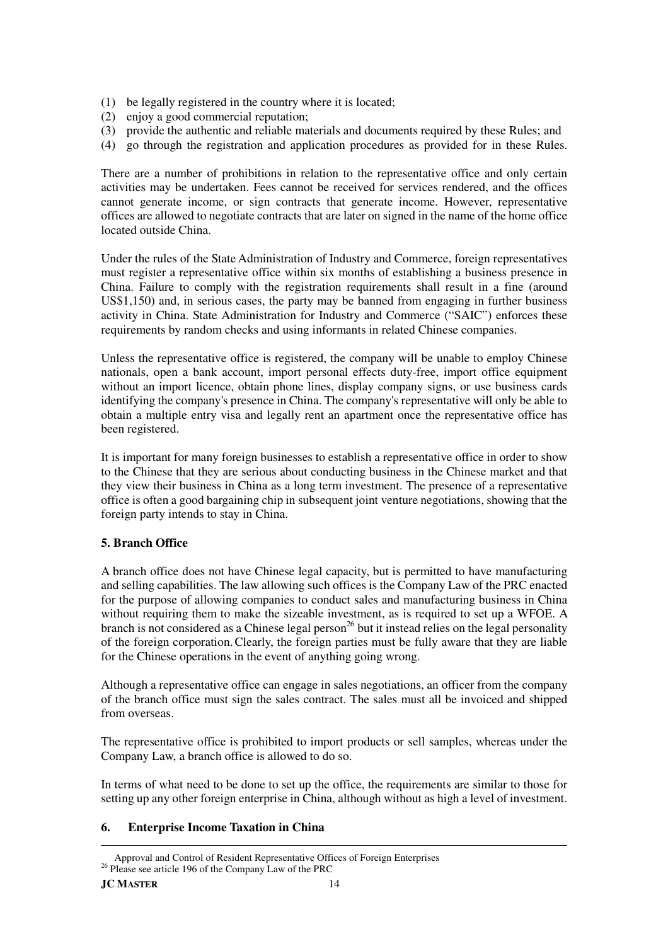- (1) be legally registered in the country where it is located;
- (2) enjoy a good commercial reputation;
- (3) provide the authentic and reliable materials and documents required by these Rules; and
- (4) go through the registration and application procedures as provided for in these Rules.

There are a number of prohibitions in relation to the representative office and only certain activities may be undertaken. Fees cannot be received for services rendered, and the offices cannot generate income, or sign contracts that generate income. However, representative offices are allowed to negotiate contracts that are later on signed in the name of the home office located outside China.

Under the rules of the State Administration of Industry and Commerce, foreign representatives must register a representative office within six months of establishing a business presence in China. Failure to comply with the registration requirements shall result in a fine (around US\$1,150) and, in serious cases, the party may be banned from engaging in further business activity in China. State Administration for Industry and Commerce ("SAIC") enforces these requirements by random checks and using informants in related Chinese companies.

Unless the representative office is registered, the company will be unable to employ Chinese nationals, open a bank account, import personal effects duty-free, import office equipment without an import licence, obtain phone lines, display company signs, or use business cards identifying the company's presence in China. The company's representative will only be able to obtain a multiple entry visa and legally rent an apartment once the representative office has been registered.

It is important for many foreign businesses to establish a representative office in order to show to the Chinese that they are serious about conducting business in the Chinese market and that they view their business in China as a long term investment. The presence of a representative office is often a good bargaining chip in subsequent joint venture negotiations, showing that the foreign party intends to stay in China.

## **5. Branch Office**

A branch office does not have Chinese legal capacity, but is permitted to have manufacturing and selling capabilities. The law allowing such offices is the Company Law of the PRC enacted for the purpose of allowing companies to conduct sales and manufacturing business in China without requiring them to make the sizeable investment, as is required to set up a WFOE. A branch is not considered as a Chinese legal person<sup>26</sup> but it instead relies on the legal personality of the foreign corporation.Clearly, the foreign parties must be fully aware that they are liable for the Chinese operations in the event of anything going wrong.

Although a representative office can engage in sales negotiations, an officer from the company of the branch office must sign the sales contract. The sales must all be invoiced and shipped from overseas.

The representative office is prohibited to import products or sell samples, whereas under the Company Law, a branch office is allowed to do so.

In terms of what need to be done to set up the office, the requirements are similar to those for setting up any other foreign enterprise in China, although without as high a level of investment.

## **6. Enterprise Income Taxation in China**

 $\overline{a}$ Approval and Control of Resident Representative Offices of Foreign Enterprises <sup>26</sup> Please see article 196 of the Company Law of the PRC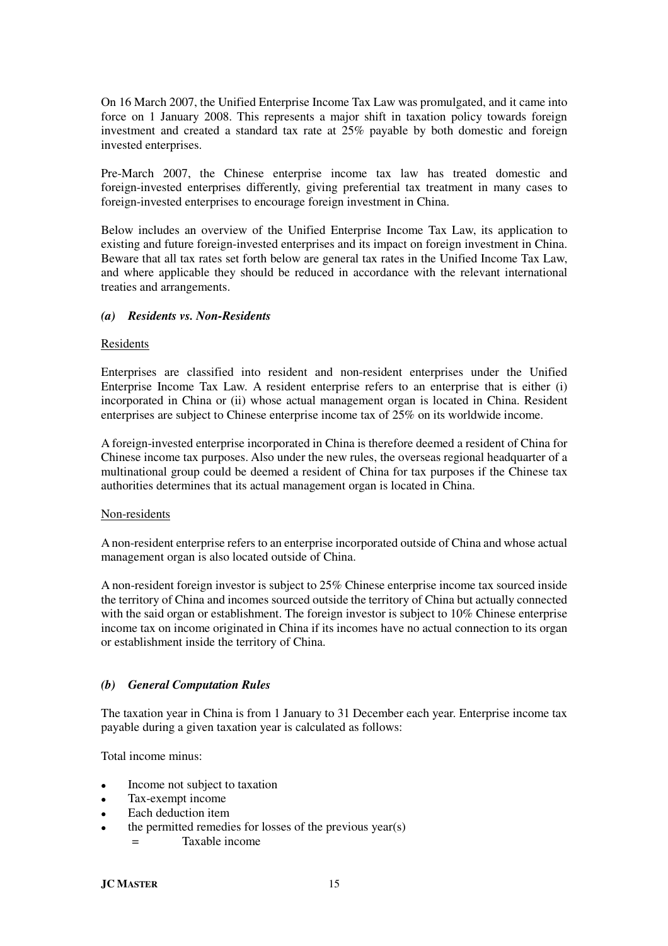On 16 March 2007, the Unified Enterprise Income Tax Law was promulgated, and it came into force on 1 January 2008. This represents a major shift in taxation policy towards foreign investment and created a standard tax rate at 25% payable by both domestic and foreign invested enterprises.

Pre-March 2007, the Chinese enterprise income tax law has treated domestic and foreign-invested enterprises differently, giving preferential tax treatment in many cases to foreign-invested enterprises to encourage foreign investment in China.

Below includes an overview of the Unified Enterprise Income Tax Law, its application to existing and future foreign-invested enterprises and its impact on foreign investment in China. Beware that all tax rates set forth below are general tax rates in the Unified Income Tax Law, and where applicable they should be reduced in accordance with the relevant international treaties and arrangements.

## *(a) Residents vs. Non-Residents*

#### Residents

Enterprises are classified into resident and non-resident enterprises under the Unified Enterprise Income Tax Law. A resident enterprise refers to an enterprise that is either (i) incorporated in China or (ii) whose actual management organ is located in China. Resident enterprises are subject to Chinese enterprise income tax of 25% on its worldwide income.

A foreign-invested enterprise incorporated in China is therefore deemed a resident of China for Chinese income tax purposes. Also under the new rules, the overseas regional headquarter of a multinational group could be deemed a resident of China for tax purposes if the Chinese tax authorities determines that its actual management organ is located in China.

#### Non-residents

A non-resident enterprise refers to an enterprise incorporated outside of China and whose actual management organ is also located outside of China.

A non-resident foreign investor is subject to 25% Chinese enterprise income tax sourced inside the territory of China and incomes sourced outside the territory of China but actually connected with the said organ or establishment. The foreign investor is subject to 10% Chinese enterprise income tax on income originated in China if its incomes have no actual connection to its organ or establishment inside the territory of China.

## *(b) General Computation Rules*

The taxation year in China is from 1 January to 31 December each year. Enterprise income tax payable during a given taxation year is calculated as follows:

Total income minus:

- Income not subject to taxation
- Tax-exempt income
- Each deduction item
- the permitted remedies for losses of the previous year(s)
	- = Taxable income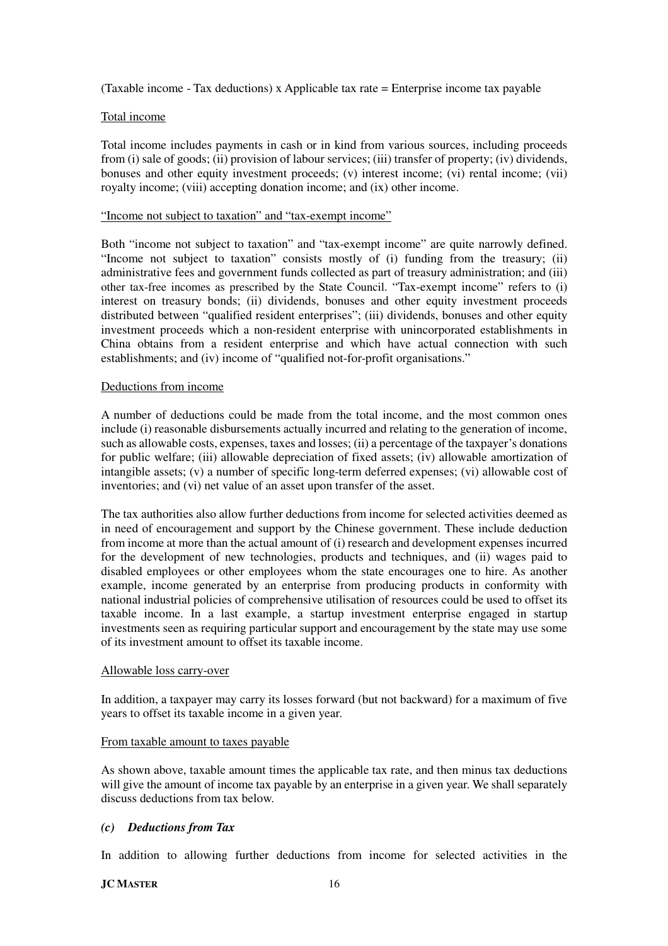(Taxable income - Tax deductions) x Applicable tax rate = Enterprise income tax payable

#### Total income

Total income includes payments in cash or in kind from various sources, including proceeds from (i) sale of goods; (ii) provision of labour services; (iii) transfer of property; (iv) dividends, bonuses and other equity investment proceeds; (v) interest income; (vi) rental income; (vii) royalty income; (viii) accepting donation income; and (ix) other income.

#### "Income not subject to taxation" and "tax-exempt income"

Both "income not subject to taxation" and "tax-exempt income" are quite narrowly defined. "Income not subject to taxation" consists mostly of (i) funding from the treasury; (ii) administrative fees and government funds collected as part of treasury administration; and (iii) other tax-free incomes as prescribed by the State Council. "Tax-exempt income" refers to (i) interest on treasury bonds; (ii) dividends, bonuses and other equity investment proceeds distributed between "qualified resident enterprises"; (iii) dividends, bonuses and other equity investment proceeds which a non-resident enterprise with unincorporated establishments in China obtains from a resident enterprise and which have actual connection with such establishments; and (iv) income of "qualified not-for-profit organisations."

#### Deductions from income

A number of deductions could be made from the total income, and the most common ones include (i) reasonable disbursements actually incurred and relating to the generation of income, such as allowable costs, expenses, taxes and losses; (ii) a percentage of the taxpayer's donations for public welfare; (iii) allowable depreciation of fixed assets; (iv) allowable amortization of intangible assets; (v) a number of specific long-term deferred expenses; (vi) allowable cost of inventories; and (vi) net value of an asset upon transfer of the asset.

The tax authorities also allow further deductions from income for selected activities deemed as in need of encouragement and support by the Chinese government. These include deduction from income at more than the actual amount of (i) research and development expenses incurred for the development of new technologies, products and techniques, and (ii) wages paid to disabled employees or other employees whom the state encourages one to hire. As another example, income generated by an enterprise from producing products in conformity with national industrial policies of comprehensive utilisation of resources could be used to offset its taxable income. In a last example, a startup investment enterprise engaged in startup investments seen as requiring particular support and encouragement by the state may use some of its investment amount to offset its taxable income.

#### Allowable loss carry-over

In addition, a taxpayer may carry its losses forward (but not backward) for a maximum of five years to offset its taxable income in a given year.

#### From taxable amount to taxes payable

As shown above, taxable amount times the applicable tax rate, and then minus tax deductions will give the amount of income tax payable by an enterprise in a given year. We shall separately discuss deductions from tax below.

## *(c) Deductions from Tax*

In addition to allowing further deductions from income for selected activities in the

## **JC MASTER** 16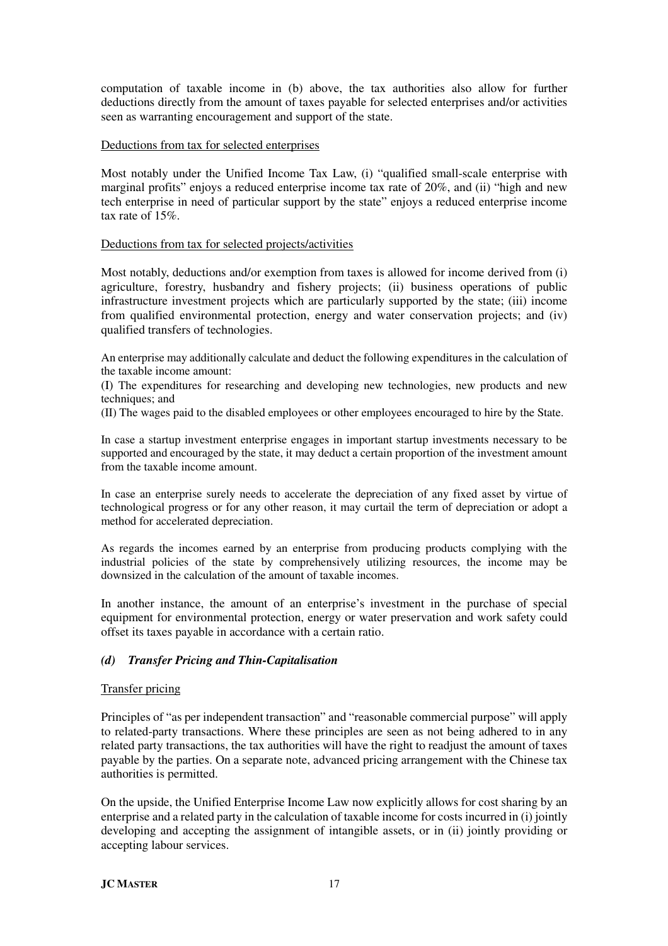computation of taxable income in (b) above, the tax authorities also allow for further deductions directly from the amount of taxes payable for selected enterprises and/or activities seen as warranting encouragement and support of the state.

#### Deductions from tax for selected enterprises

Most notably under the Unified Income Tax Law, (i) "qualified small-scale enterprise with marginal profits" enjoys a reduced enterprise income tax rate of 20%, and (ii) "high and new tech enterprise in need of particular support by the state" enjoys a reduced enterprise income tax rate of 15%.

#### Deductions from tax for selected projects/activities

Most notably, deductions and/or exemption from taxes is allowed for income derived from (i) agriculture, forestry, husbandry and fishery projects; (ii) business operations of public infrastructure investment projects which are particularly supported by the state; (iii) income from qualified environmental protection, energy and water conservation projects; and (iv) qualified transfers of technologies.

An enterprise may additionally calculate and deduct the following expenditures in the calculation of the taxable income amount:

(I) The expenditures for researching and developing new technologies, new products and new techniques; and

(II) The wages paid to the disabled employees or other employees encouraged to hire by the State.

In case a startup investment enterprise engages in important startup investments necessary to be supported and encouraged by the state, it may deduct a certain proportion of the investment amount from the taxable income amount.

In case an enterprise surely needs to accelerate the depreciation of any fixed asset by virtue of technological progress or for any other reason, it may curtail the term of depreciation or adopt a method for accelerated depreciation.

As regards the incomes earned by an enterprise from producing products complying with the industrial policies of the state by comprehensively utilizing resources, the income may be downsized in the calculation of the amount of taxable incomes.

In another instance, the amount of an enterprise's investment in the purchase of special equipment for environmental protection, energy or water preservation and work safety could offset its taxes payable in accordance with a certain ratio.

## *(d) Transfer Pricing and Thin-Capitalisation*

## Transfer pricing

Principles of "as per independent transaction" and "reasonable commercial purpose" will apply to related-party transactions. Where these principles are seen as not being adhered to in any related party transactions, the tax authorities will have the right to readjust the amount of taxes payable by the parties. On a separate note, advanced pricing arrangement with the Chinese tax authorities is permitted.

On the upside, the Unified Enterprise Income Law now explicitly allows for cost sharing by an enterprise and a related party in the calculation of taxable income for costs incurred in (i) jointly developing and accepting the assignment of intangible assets, or in (ii) jointly providing or accepting labour services.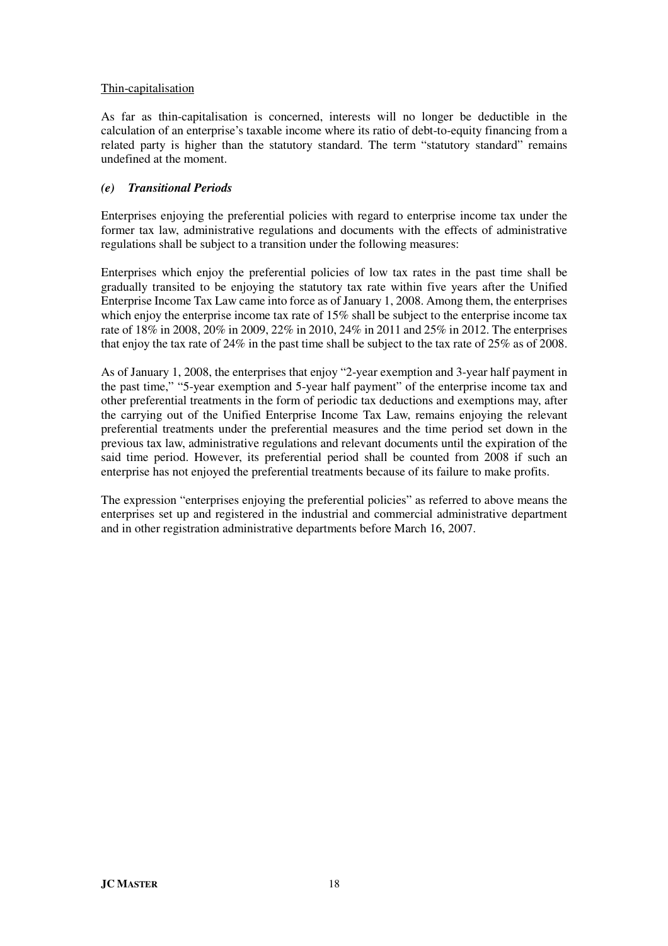## Thin-capitalisation

As far as thin-capitalisation is concerned, interests will no longer be deductible in the calculation of an enterprise's taxable income where its ratio of debt-to-equity financing from a related party is higher than the statutory standard. The term "statutory standard" remains undefined at the moment.

## *(e) Transitional Periods*

Enterprises enjoying the preferential policies with regard to enterprise income tax under the former tax law, administrative regulations and documents with the effects of administrative regulations shall be subject to a transition under the following measures:

Enterprises which enjoy the preferential policies of low tax rates in the past time shall be gradually transited to be enjoying the statutory tax rate within five years after the Unified Enterprise Income Tax Law came into force as of January 1, 2008. Among them, the enterprises which enjoy the enterprise income tax rate of 15% shall be subject to the enterprise income tax rate of 18% in 2008, 20% in 2009, 22% in 2010, 24% in 2011 and 25% in 2012. The enterprises that enjoy the tax rate of 24% in the past time shall be subject to the tax rate of 25% as of 2008.

As of January 1, 2008, the enterprises that enjoy "2-year exemption and 3-year half payment in the past time," "5-year exemption and 5-year half payment" of the enterprise income tax and other preferential treatments in the form of periodic tax deductions and exemptions may, after the carrying out of the Unified Enterprise Income Tax Law, remains enjoying the relevant preferential treatments under the preferential measures and the time period set down in the previous tax law, administrative regulations and relevant documents until the expiration of the said time period. However, its preferential period shall be counted from 2008 if such an enterprise has not enjoyed the preferential treatments because of its failure to make profits.

The expression "enterprises enjoying the preferential policies" as referred to above means the enterprises set up and registered in the industrial and commercial administrative department and in other registration administrative departments before March 16, 2007.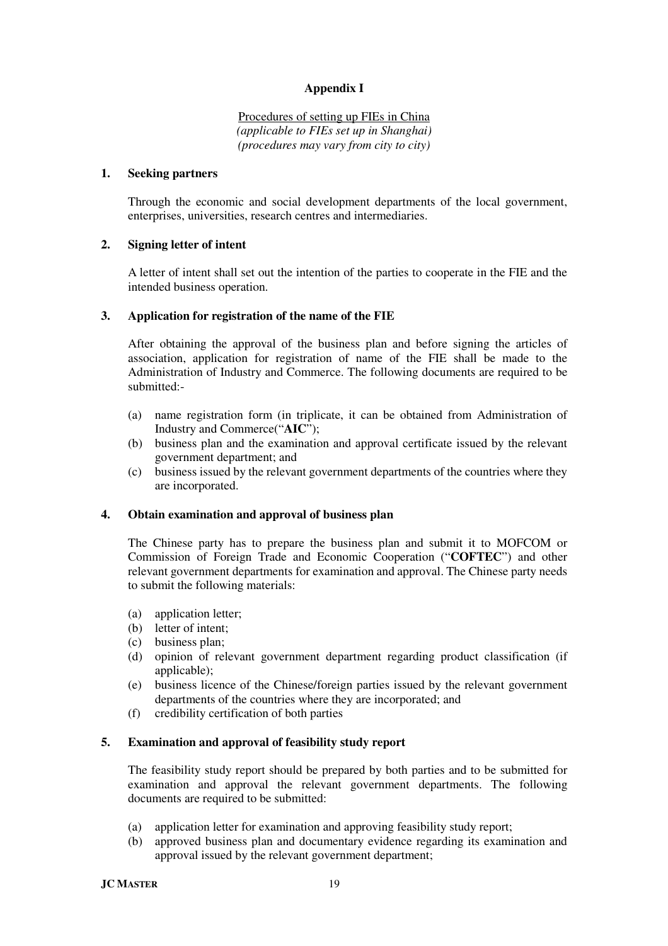## **Appendix I**

Procedures of setting up FIEs in China *(applicable to FIEs set up in Shanghai) (procedures may vary from city to city)* 

#### **1. Seeking partners**

Through the economic and social development departments of the local government, enterprises, universities, research centres and intermediaries.

## **2. Signing letter of intent**

A letter of intent shall set out the intention of the parties to cooperate in the FIE and the intended business operation.

#### **3. Application for registration of the name of the FIE**

After obtaining the approval of the business plan and before signing the articles of association, application for registration of name of the FIE shall be made to the Administration of Industry and Commerce. The following documents are required to be submitted:-

- (a) name registration form (in triplicate, it can be obtained from Administration of Industry and Commerce("**AIC**");
- (b) business plan and the examination and approval certificate issued by the relevant government department; and
- (c) business issued by the relevant government departments of the countries where they are incorporated.

#### **4. Obtain examination and approval of business plan**

The Chinese party has to prepare the business plan and submit it to MOFCOM or Commission of Foreign Trade and Economic Cooperation ("**COFTEC**") and other relevant government departments for examination and approval. The Chinese party needs to submit the following materials:

- (a) application letter;
- (b) letter of intent;
- (c) business plan;
- (d) opinion of relevant government department regarding product classification (if applicable);
- (e) business licence of the Chinese/foreign parties issued by the relevant government departments of the countries where they are incorporated; and
- (f) credibility certification of both parties

#### **5. Examination and approval of feasibility study report**

The feasibility study report should be prepared by both parties and to be submitted for examination and approval the relevant government departments. The following documents are required to be submitted:

- (a) application letter for examination and approving feasibility study report;
- (b) approved business plan and documentary evidence regarding its examination and approval issued by the relevant government department;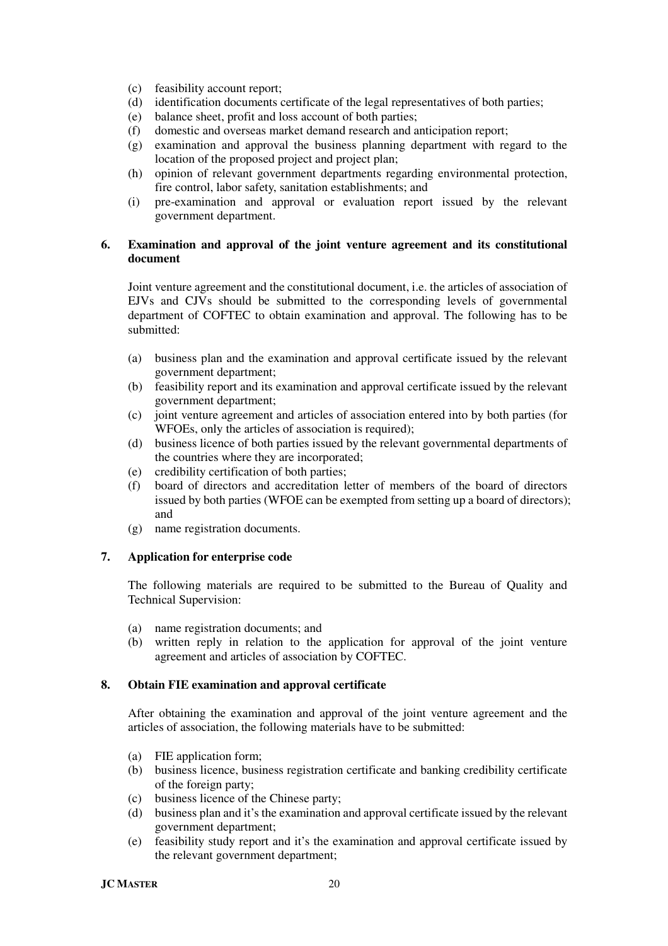- (c) feasibility account report;
- (d) identification documents certificate of the legal representatives of both parties;
- (e) balance sheet, profit and loss account of both parties;
- (f) domestic and overseas market demand research and anticipation report;
- (g) examination and approval the business planning department with regard to the location of the proposed project and project plan;
- (h) opinion of relevant government departments regarding environmental protection, fire control, labor safety, sanitation establishments; and
- (i) pre-examination and approval or evaluation report issued by the relevant government department.

## **6. Examination and approval of the joint venture agreement and its constitutional document**

Joint venture agreement and the constitutional document, i.e. the articles of association of EJVs and CJVs should be submitted to the corresponding levels of governmental department of COFTEC to obtain examination and approval. The following has to be submitted:

- (a) business plan and the examination and approval certificate issued by the relevant government department;
- (b) feasibility report and its examination and approval certificate issued by the relevant government department;
- (c) joint venture agreement and articles of association entered into by both parties (for WFOEs, only the articles of association is required);
- (d) business licence of both parties issued by the relevant governmental departments of the countries where they are incorporated;
- (e) credibility certification of both parties;
- (f) board of directors and accreditation letter of members of the board of directors issued by both parties (WFOE can be exempted from setting up a board of directors); and
- (g) name registration documents.

## **7. Application for enterprise code**

The following materials are required to be submitted to the Bureau of Quality and Technical Supervision:

- (a) name registration documents; and
- (b) written reply in relation to the application for approval of the joint venture agreement and articles of association by COFTEC.

## **8. Obtain FIE examination and approval certificate**

After obtaining the examination and approval of the joint venture agreement and the articles of association, the following materials have to be submitted:

- (a) FIE application form;
- (b) business licence, business registration certificate and banking credibility certificate of the foreign party;
- (c) business licence of the Chinese party;
- (d) business plan and it's the examination and approval certificate issued by the relevant government department;
- (e) feasibility study report and it's the examination and approval certificate issued by the relevant government department;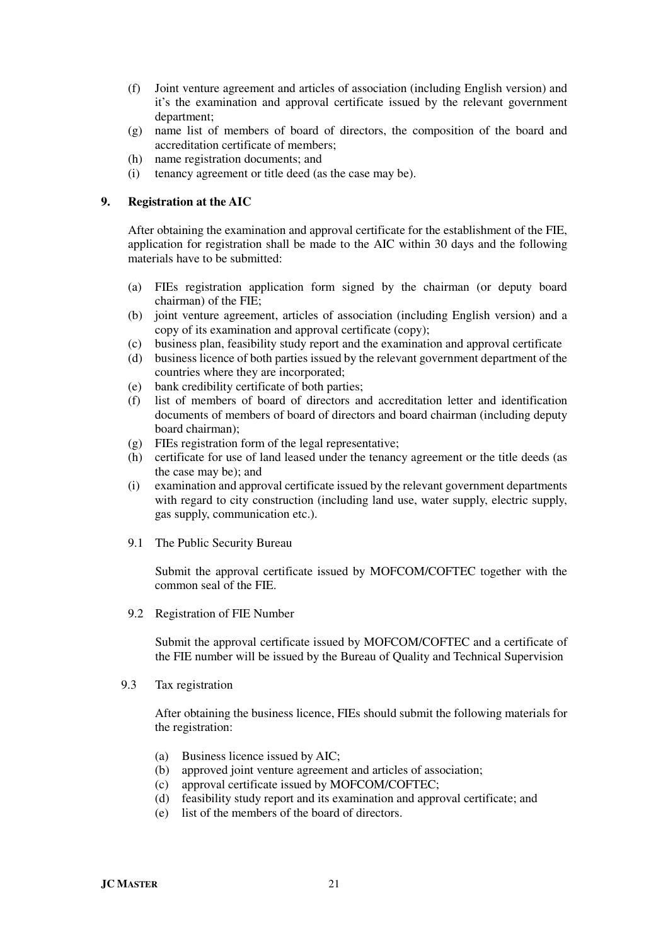- (f) Joint venture agreement and articles of association (including English version) and it's the examination and approval certificate issued by the relevant government department;
- (g) name list of members of board of directors, the composition of the board and accreditation certificate of members;
- (h) name registration documents; and
- (i) tenancy agreement or title deed (as the case may be).

#### **9. Registration at the AIC**

After obtaining the examination and approval certificate for the establishment of the FIE, application for registration shall be made to the AIC within 30 days and the following materials have to be submitted:

- (a) FIEs registration application form signed by the chairman (or deputy board chairman) of the FIE;
- (b) joint venture agreement, articles of association (including English version) and a copy of its examination and approval certificate (copy);
- (c) business plan, feasibility study report and the examination and approval certificate
- (d) business licence of both parties issued by the relevant government department of the countries where they are incorporated;
- (e) bank credibility certificate of both parties;
- (f) list of members of board of directors and accreditation letter and identification documents of members of board of directors and board chairman (including deputy board chairman);
- (g) FIEs registration form of the legal representative;
- (h) certificate for use of land leased under the tenancy agreement or the title deeds (as the case may be); and
- (i) examination and approval certificate issued by the relevant government departments with regard to city construction (including land use, water supply, electric supply, gas supply, communication etc.).
- 9.1 The Public Security Bureau

 Submit the approval certificate issued by MOFCOM/COFTEC together with the common seal of the FIE.

9.2 Registration of FIE Number

Submit the approval certificate issued by MOFCOM/COFTEC and a certificate of the FIE number will be issued by the Bureau of Quality and Technical Supervision

9.3 Tax registration

After obtaining the business licence, FIEs should submit the following materials for the registration:

- (a) Business licence issued by AIC;
- (b) approved joint venture agreement and articles of association;
- (c) approval certificate issued by MOFCOM/COFTEC;
- (d) feasibility study report and its examination and approval certificate; and
- (e) list of the members of the board of directors.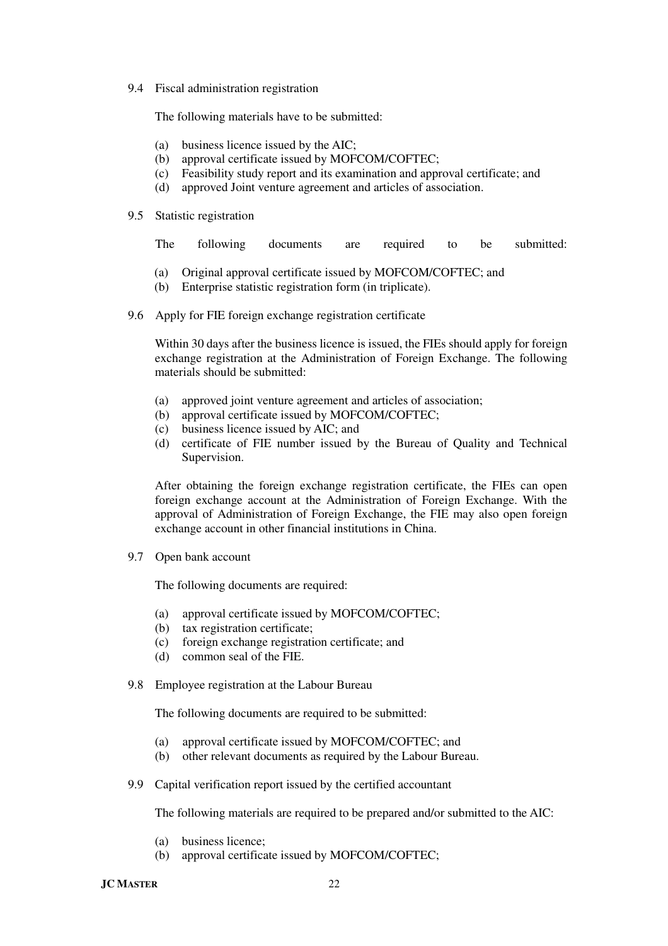9.4 Fiscal administration registration

The following materials have to be submitted:

- (a) business licence issued by the AIC;
- (b) approval certificate issued by MOFCOM/COFTEC;
- (c) Feasibility study report and its examination and approval certificate; and
- (d) approved Joint venture agreement and articles of association.
- 9.5 Statistic registration

|  |  |  | The following documents are required to be submitted: |  |  |  |  |  |
|--|--|--|-------------------------------------------------------|--|--|--|--|--|
|--|--|--|-------------------------------------------------------|--|--|--|--|--|

- (a) Original approval certificate issued by MOFCOM/COFTEC; and
- (b) Enterprise statistic registration form (in triplicate).
- 9.6 Apply for FIE foreign exchange registration certificate

Within 30 days after the business licence is issued, the FIEs should apply for foreign exchange registration at the Administration of Foreign Exchange. The following materials should be submitted:

- (a) approved joint venture agreement and articles of association;
- (b) approval certificate issued by MOFCOM/COFTEC;
- (c) business licence issued by AIC; and
- (d) certificate of FIE number issued by the Bureau of Quality and Technical Supervision.

After obtaining the foreign exchange registration certificate, the FIEs can open foreign exchange account at the Administration of Foreign Exchange. With the approval of Administration of Foreign Exchange, the FIE may also open foreign exchange account in other financial institutions in China.

9.7 Open bank account

The following documents are required:

- (a) approval certificate issued by MOFCOM/COFTEC;
- (b) tax registration certificate;
- (c) foreign exchange registration certificate; and
- (d) common seal of the FIE.
- 9.8 Employee registration at the Labour Bureau

The following documents are required to be submitted:

- (a) approval certificate issued by MOFCOM/COFTEC; and
- (b) other relevant documents as required by the Labour Bureau.
- 9.9 Capital verification report issued by the certified accountant

The following materials are required to be prepared and/or submitted to the AIC:

- (a) business licence;
- (b) approval certificate issued by MOFCOM/COFTEC;

**JC MASTER** 22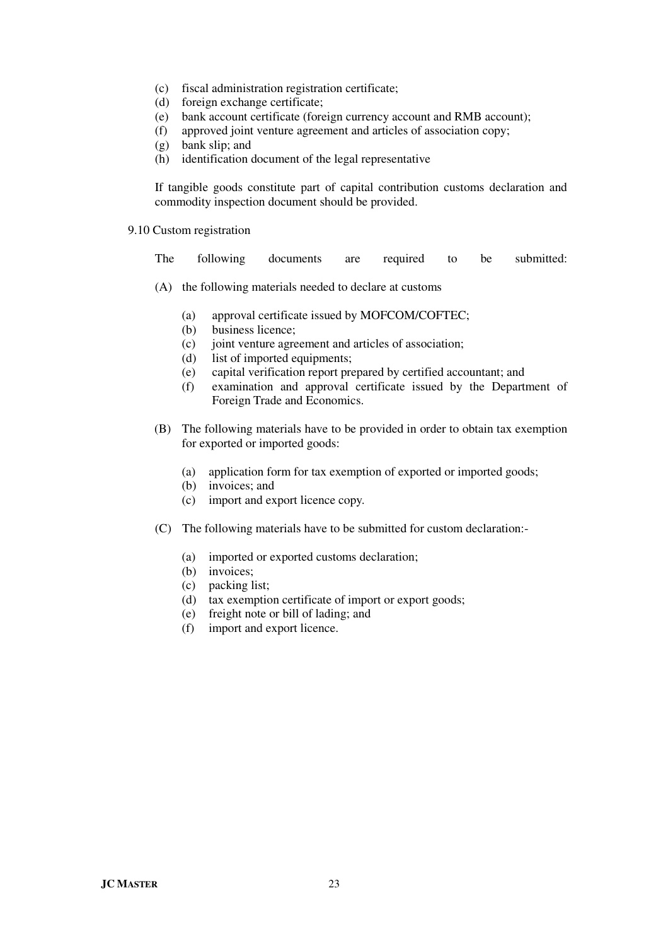- (c) fiscal administration registration certificate;
- (d) foreign exchange certificate;
- (e) bank account certificate (foreign currency account and RMB account);
- (f) approved joint venture agreement and articles of association copy;
- (g) bank slip; and
- (h) identification document of the legal representative

If tangible goods constitute part of capital contribution customs declaration and commodity inspection document should be provided.

9.10 Custom registration

The following documents are required to be submitted:

- (A) the following materials needed to declare at customs
	- (a) approval certificate issued by MOFCOM/COFTEC;
	- (b) business licence;
	- (c) joint venture agreement and articles of association;
	- (d) list of imported equipments;
	- (e) capital verification report prepared by certified accountant; and
	- (f) examination and approval certificate issued by the Department of Foreign Trade and Economics.
- (B) The following materials have to be provided in order to obtain tax exemption for exported or imported goods:
	- (a) application form for tax exemption of exported or imported goods;
	- (b) invoices; and
	- (c) import and export licence copy.
- (C) The following materials have to be submitted for custom declaration:-
	- (a) imported or exported customs declaration;
	- (b) invoices;
	- (c) packing list;
	- (d) tax exemption certificate of import or export goods;
	- (e) freight note or bill of lading; and
	- (f) import and export licence.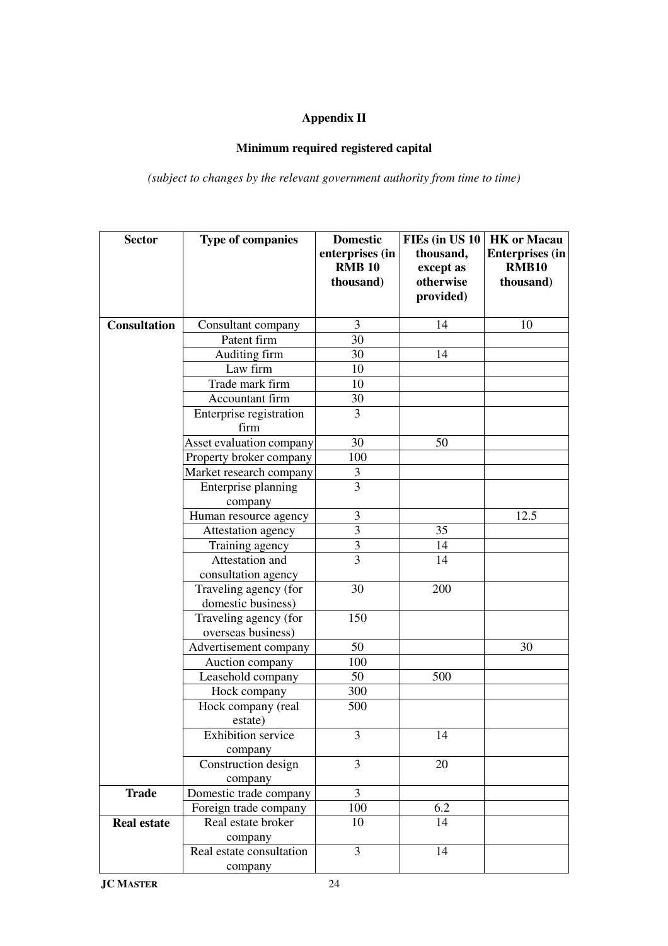# **Appendix II**

# **Minimum required registered capital**

*(subject to changes by the relevant government authority from time to time)*

| <b>Sector</b>       | <b>Type of companies</b>  | <b>Domestic</b> | FIEs (in US 10 | <b>HK</b> or Macau     |  |
|---------------------|---------------------------|-----------------|----------------|------------------------|--|
|                     |                           | enterprises (in | thousand,      | <b>Enterprises (in</b> |  |
|                     |                           | <b>RMB 10</b>   | except as      | <b>RMB10</b>           |  |
|                     |                           | thousand)       | otherwise      | thousand)              |  |
|                     |                           |                 | provided)      |                        |  |
|                     |                           |                 |                |                        |  |
| <b>Consultation</b> | Consultant company        | 3               | 14             | 10                     |  |
|                     | Patent firm               | 30              |                |                        |  |
|                     | Auditing firm             | 30              | 14             |                        |  |
|                     | Law firm                  | 10              |                |                        |  |
|                     | Trade mark firm           | 10              |                |                        |  |
|                     | Accountant firm           | 30              |                |                        |  |
|                     | Enterprise registration   | 3               |                |                        |  |
|                     | firm                      |                 |                |                        |  |
|                     | Asset evaluation company  | 30              | 50             |                        |  |
|                     | Property broker company   | 100             |                |                        |  |
|                     | Market research company   | 3               |                |                        |  |
|                     | Enterprise planning       | $\overline{3}$  |                |                        |  |
|                     | company                   |                 |                |                        |  |
|                     | Human resource agency     | 3               |                | 12.5                   |  |
|                     | Attestation agency        | $\overline{3}$  | 35             |                        |  |
|                     | Training agency           | 3               | 14             |                        |  |
|                     | Attestation and           | 3               | 14             |                        |  |
|                     | consultation agency       |                 |                |                        |  |
|                     | Traveling agency (for     | 30              | 200            |                        |  |
|                     | domestic business)        |                 |                |                        |  |
|                     | Traveling agency (for     | 150             |                |                        |  |
|                     | overseas business)        |                 |                |                        |  |
|                     | Advertisement company     | 50              |                | 30                     |  |
|                     | Auction company           | 100             |                |                        |  |
|                     | Leasehold company         | 50              | 500            |                        |  |
|                     | Hock company              | 300             |                |                        |  |
|                     | Hock company (real        | 500             |                |                        |  |
|                     | estate)                   |                 |                |                        |  |
|                     | <b>Exhibition</b> service | $\mathfrak{Z}$  | 14             |                        |  |
|                     | company                   |                 |                |                        |  |
|                     | Construction design       | 3               | 20             |                        |  |
|                     | company                   |                 |                |                        |  |
| <b>Trade</b>        | Domestic trade company    | $\overline{3}$  |                |                        |  |
|                     | Foreign trade company     | 100             | 6.2            |                        |  |
| <b>Real estate</b>  | Real estate broker        | 10              | 14             |                        |  |
|                     | company                   |                 |                |                        |  |
|                     | Real estate consultation  | $\overline{3}$  | 14             |                        |  |
|                     | company                   |                 |                |                        |  |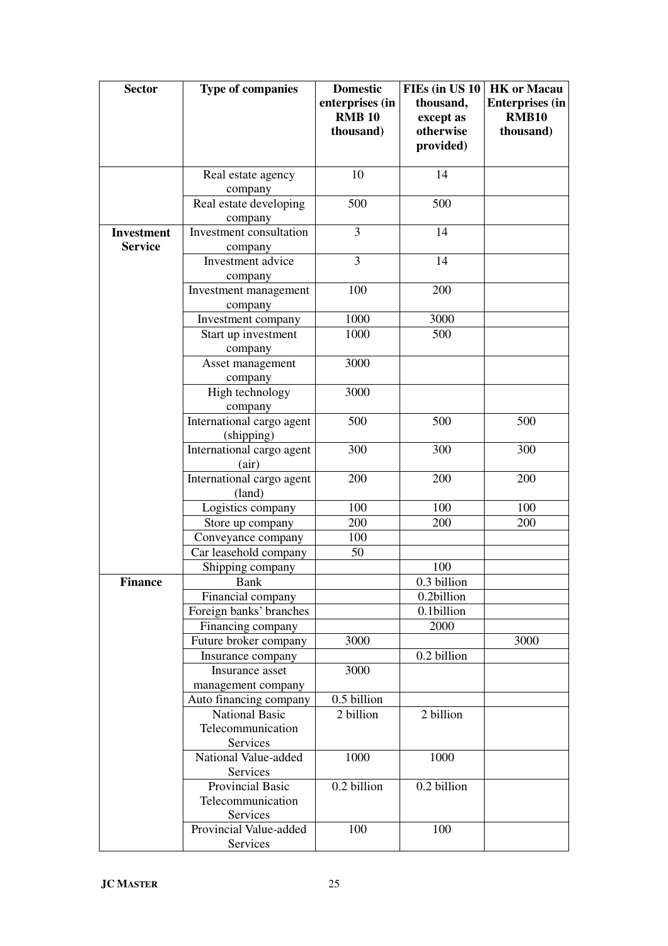| <b>Sector</b>     | <b>Type of companies</b>                    | <b>Domestic</b><br>enterprises (in | FIEs (in US 10<br>thousand, | <b>HK</b> or Macau<br><b>Enterprises (in</b> |  |
|-------------------|---------------------------------------------|------------------------------------|-----------------------------|----------------------------------------------|--|
|                   |                                             | <b>RMB 10</b>                      | except as                   | <b>RMB10</b>                                 |  |
|                   |                                             | thousand)                          | otherwise                   | thousand)                                    |  |
|                   |                                             |                                    | provided)                   |                                              |  |
|                   | Real estate agency                          | 10                                 | 14                          |                                              |  |
|                   | company                                     |                                    |                             |                                              |  |
|                   | Real estate developing                      | 500                                | 500                         |                                              |  |
|                   | company                                     |                                    |                             |                                              |  |
| <b>Investment</b> | Investment consultation                     | 3                                  | 14                          |                                              |  |
| <b>Service</b>    | company                                     |                                    |                             |                                              |  |
|                   | Investment advice                           | 3                                  | 14                          |                                              |  |
|                   | company                                     |                                    |                             |                                              |  |
|                   | Investment management                       | 100                                | 200                         |                                              |  |
|                   | company                                     |                                    |                             |                                              |  |
|                   | Investment company                          | 1000<br>1000                       | 3000<br>500                 |                                              |  |
|                   | Start up investment                         |                                    |                             |                                              |  |
|                   | company<br>Asset management                 | 3000                               |                             |                                              |  |
|                   | company                                     |                                    |                             |                                              |  |
|                   | High technology                             | 3000                               |                             |                                              |  |
|                   | company                                     |                                    |                             |                                              |  |
|                   | International cargo agent                   | 500                                | 500                         | 500                                          |  |
|                   | (shipping)                                  |                                    |                             |                                              |  |
|                   | International cargo agent                   | 300                                | 300                         | 300                                          |  |
|                   | (air)                                       |                                    |                             |                                              |  |
|                   | International cargo agent                   | 200                                | 200                         | 200                                          |  |
|                   | (land)                                      |                                    |                             |                                              |  |
|                   | Logistics company                           | 100                                | 100                         | 100                                          |  |
|                   | Store up company                            | 200                                | 200                         | 200                                          |  |
|                   | Conveyance company<br>Car leasehold company | 100<br>50                          |                             |                                              |  |
|                   | Shipping company                            |                                    | 100                         |                                              |  |
| <b>Finance</b>    | Bank                                        |                                    | 0.3 billion                 |                                              |  |
|                   | Financial company                           |                                    | 0.2billion                  |                                              |  |
|                   | Foreign banks' branches                     |                                    | 0.1billion                  |                                              |  |
|                   | Financing company                           |                                    | 2000                        |                                              |  |
|                   | Future broker company                       | 3000                               |                             | 3000                                         |  |
|                   | Insurance company                           |                                    | 0.2 billion                 |                                              |  |
|                   | Insurance asset                             | 3000                               |                             |                                              |  |
|                   | management company                          |                                    |                             |                                              |  |
|                   | Auto financing company                      | 0.5 billion                        |                             |                                              |  |
|                   | <b>National Basic</b>                       | 2 billion                          | 2 billion                   |                                              |  |
|                   | Telecommunication                           |                                    |                             |                                              |  |
|                   | Services                                    |                                    |                             |                                              |  |
|                   | National Value-added                        | 1000                               | 1000                        |                                              |  |
|                   | Services<br>Provincial Basic                | 0.2 billion                        | 0.2 billion                 |                                              |  |
|                   | Telecommunication                           |                                    |                             |                                              |  |
|                   | Services                                    |                                    |                             |                                              |  |
|                   | Provincial Value-added                      | 100                                | 100                         |                                              |  |
|                   | Services                                    |                                    |                             |                                              |  |